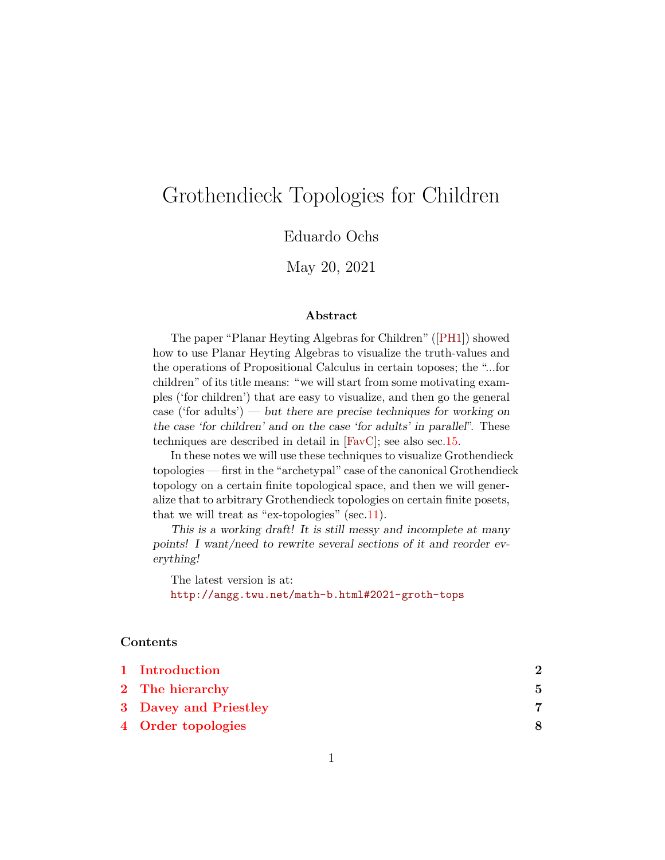# Grothendieck Topologies for Children

Eduardo Ochs

May 20, 2021

#### **Abstract**

The paper "Planar Heyting Algebras for Children"([\[PH1\]](#page-43-0)) showed how to use Planar Heyting Algebras to visualize the truth-values and the operations of Propositional Calculus in certain toposes; the "...for children" of its title means: "we will start from some motivating examples ('for children') that are easy to visualize, and then go the general case ('for adults') — but there are precise techniques for working on the case 'for children' and on the case 'for adults' in parallel". These techniques are described in detail in [\[FavC\]](#page-43-1); see also sec[.15.](#page-40-0)

In these notes we will use these techniques to visualize Grothendieck topologies — first in the "archetypal" case of the canonical Grothendieck topology on a certain finite topological space, and then we will generalize that to arbitrary Grothendieck topologies on certain finite posets, that we will treat as "ex-topologies" (sec. 11).

This is a working draft! It is still messy and incomplete at many points! I want/need to rewrite several sections of it and reorder everything!

The latest version is at: <http://angg.twu.net/math-b.html#2021-groth-tops>

#### **Contents**

| 1 Introduction        |   |
|-----------------------|---|
| 2 The hierarchy       | 5 |
| 3 Davey and Priestley |   |
| 4 Order topologies    |   |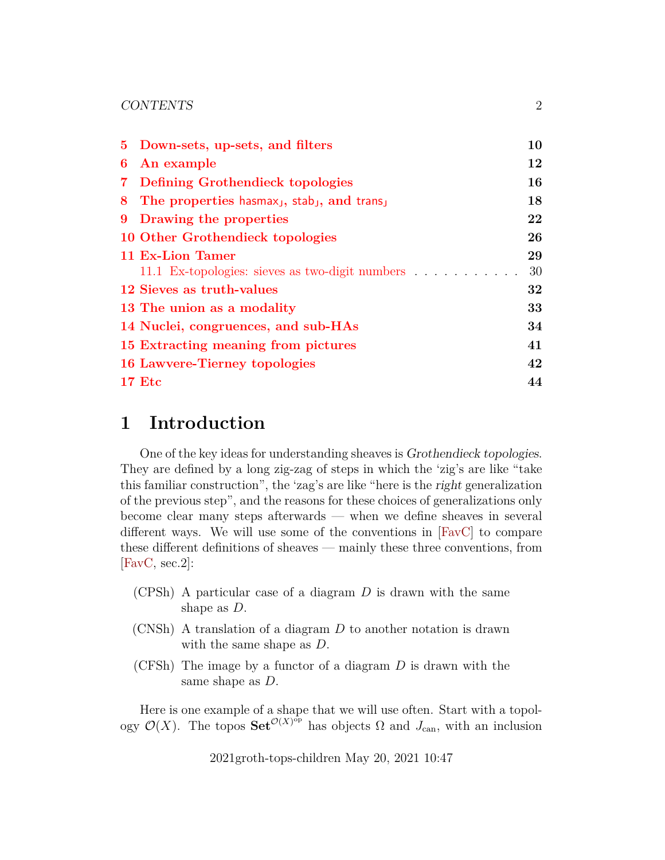|   | 5 Down-sets, up-sets, and filters                                                 | 10 |
|---|-----------------------------------------------------------------------------------|----|
| 6 | An example                                                                        | 12 |
|   | 7 Defining Grothendieck topologies                                                | 16 |
|   | 8 The properties hasmax <sub>1</sub> , stab <sub>1</sub> , and trans <sub>1</sub> | 18 |
|   | 9 Drawing the properties                                                          | 22 |
|   | 10 Other Grothendieck topologies                                                  | 26 |
|   | 11 Ex-Lion Tamer                                                                  | 29 |
|   |                                                                                   | 30 |
|   | 12 Sieves as truth-values                                                         | 32 |
|   | 13 The union as a modality                                                        | 33 |
|   | 14 Nuclei, congruences, and sub-HAs                                               | 34 |
|   | 15 Extracting meaning from pictures                                               | 41 |
|   | 16 Lawvere-Tierney topologies                                                     | 42 |
|   | <b>17 Etc</b>                                                                     | 44 |

## <span id="page-1-0"></span>**1 Introduction**

One of the key ideas for understanding sheaves is Grothendieck topologies. They are defined by a long zig-zag of steps in which the 'zig's are like "take this familiar construction", the 'zag's are like "here is the right generalization of the previous step", and the reasons for these choices of generalizations only become clear many steps afterwards — when we define sheaves in several different ways. We will use some of the conventions in [\[FavC\]](#page-43-1) to compare these different definitions of sheaves — mainly these three conventions, from [\[FavC,](#page-43-1) sec.2]:

- $(CPSh)$  A particular case of a diagram D is drawn with the same shape as D.
- (CNSh) A translation of a diagram D to another notation is drawn with the same shape as  $D$ .
- (CFSh) The image by a functor of a diagram  $D$  is drawn with the same shape as D.

Here is one example of a shape that we will use often. Start with a topology  $\mathcal{O}(X)$ . The topos  $\mathbf{Set}^{\mathcal{O}(X)^{\bar{op}}}$  has objects  $\Omega$  and  $J_{\text{can}}$ , with an inclusion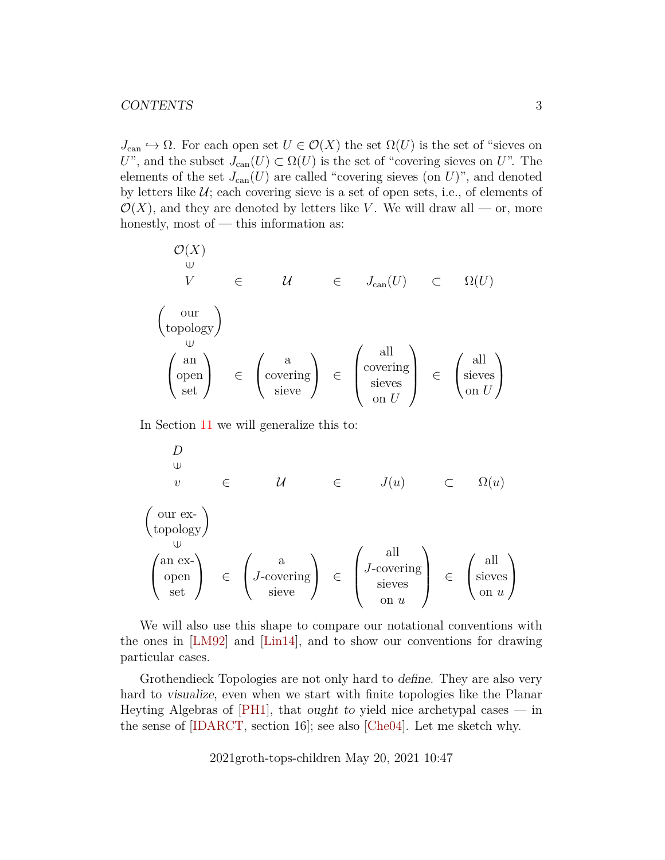$J_{\text{can}} \hookrightarrow \Omega$ . For each open set  $U \in \mathcal{O}(X)$  the set  $\Omega(U)$  is the set of "sieves on U", and the subset  $J_{\text{can}}(U) \subset \Omega(U)$  is the set of "covering sieves on U". The elements of the set  $J_{\text{can}}(U)$  are called "covering sieves (on U)", and denoted by letters like  $U$ ; each covering sieve is a set of open sets, i.e., of elements of  $\mathcal{O}(X)$ , and they are denoted by letters like V. We will draw all — or, more honestly, most of — this information as:

O(X) ∈V ∈ U ∈ Jcan(U) ⊂ Ω(U) our topology ∈ an open set <sup>∈</sup> a covering sieve <sup>∈</sup> all covering sieves on U ∈ all sieves on U 

In Section [11](#page-28-0) we will generalize this to:

$$
D
$$
\n
$$
v \in U
$$
\n
$$
\left(\begin{array}{ccc} \text{our ex-} \\ \text{topology} \end{array}\right)
$$
\n
$$
\left(\begin{array}{ccc} \text{our ex-} \\ \text{up over the image} \end{array}\right)
$$
\n
$$
\left(\begin{array}{ccc} \text{our ex-} \\ \text{up over the image} \end{array}\right)
$$
\n
$$
\left(\begin{array}{ccc} \text{our ex-} \\ \text{down over the image} \end{array}\right)
$$
\n
$$
\left(\begin{array}{ccc} \text{all} \\ \text{open} \\ \text{set} \end{array}\right) \in \left(\begin{array}{ccc} \text{all} \\ \text{J-covering} \\ \text{seves} \\ \text{on } u \end{array}\right) \in \left(\begin{array}{ccc} \text{all} \\ \text{seves} \\ \text{on } u \end{array}\right)
$$

We will also use this shape to compare our notational conventions with the ones in [\[LM92\]](#page-43-3) and [\[Lin14\]](#page-43-4), and to show our conventions for drawing particular cases.

Grothendieck Topologies are not only hard to define. They are also very hard to visualize, even when we start with finite topologies like the Planar Heyting Algebras of  $[PH1]$ , that ought to yield nice archetypal cases — in the sense of [\[IDARCT,](#page-43-5) section 16]; see also [\[Che04\]](#page-43-6). Let me sketch why.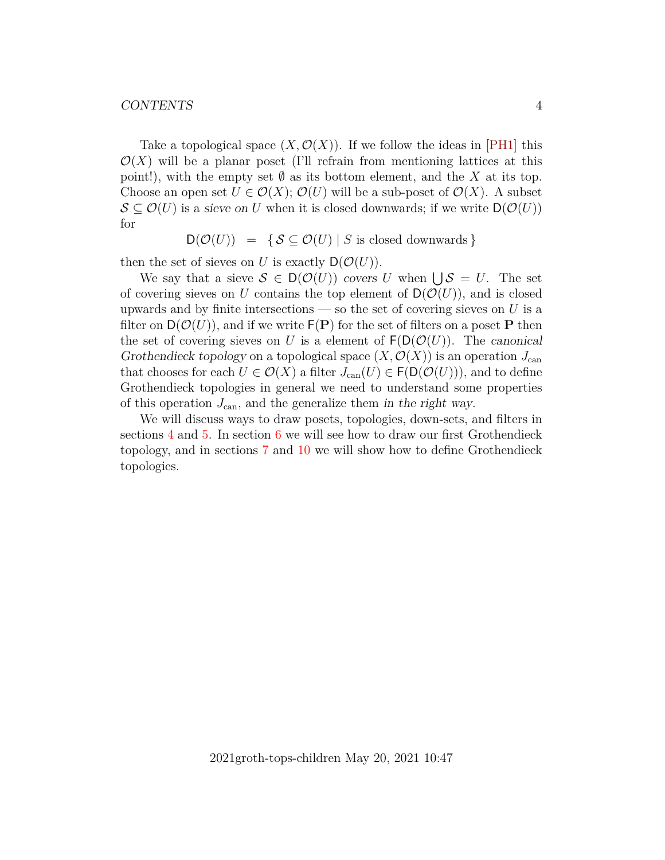Take a topological space  $(X, \mathcal{O}(X))$ . If we follow the ideas in [\[PH1\]](#page-43-0) this  $\mathcal{O}(X)$  will be a planar poset (I'll refrain from mentioning lattices at this point!), with the empty set  $\emptyset$  as its bottom element, and the X at its top. Choose an open set  $U \in \mathcal{O}(X)$ ;  $\mathcal{O}(U)$  will be a sub-poset of  $\mathcal{O}(X)$ . A subset  $\mathcal{S} \subseteq \mathcal{O}(U)$  is a sieve on U when it is closed downwards; if we write  $\mathsf{D}(\mathcal{O}(U))$ for

 $D(\mathcal{O}(U)) = \{ S \subseteq \mathcal{O}(U) | S \text{ is closed downwards} \}$ 

then the set of sieves on U is exactly  $D(\mathcal{O}(U))$ .

We say that a sieve  $S \in D(\mathcal{O}(U))$  covers U when  $\bigcup S = U$ . The set of covering sieves on U contains the top element of  $D(\mathcal{O}(U))$ , and is closed upwards and by finite intersections — so the set of covering sieves on  $U$  is a filter on  $D(\mathcal{O}(U))$ , and if we write  $F(\mathbf{P})$  for the set of filters on a poset P then the set of covering sieves on U is a element of  $F(D(\mathcal{O}(U)))$ . The canonical Grothendieck topology on a topological space  $(X, \mathcal{O}(X))$  is an operation  $J_{\text{can}}$ that chooses for each  $U \in \mathcal{O}(X)$  a filter  $J_{\text{can}}(U) \in \mathsf{F}(\mathsf{D}(\mathcal{O}(U))),$  and to define Grothendieck topologies in general we need to understand some properties of this operation  $J_{\text{can}}$ , and the generalize them in the right way.

We will discuss ways to draw posets, topologies, down-sets, and filters in sections [4](#page-7-0) and [5.](#page-9-0) In section [6](#page-11-0) we will see how to draw our first Grothendieck topology, and in sections [7](#page-15-0) and [10](#page-25-0) we will show how to define Grothendieck topologies.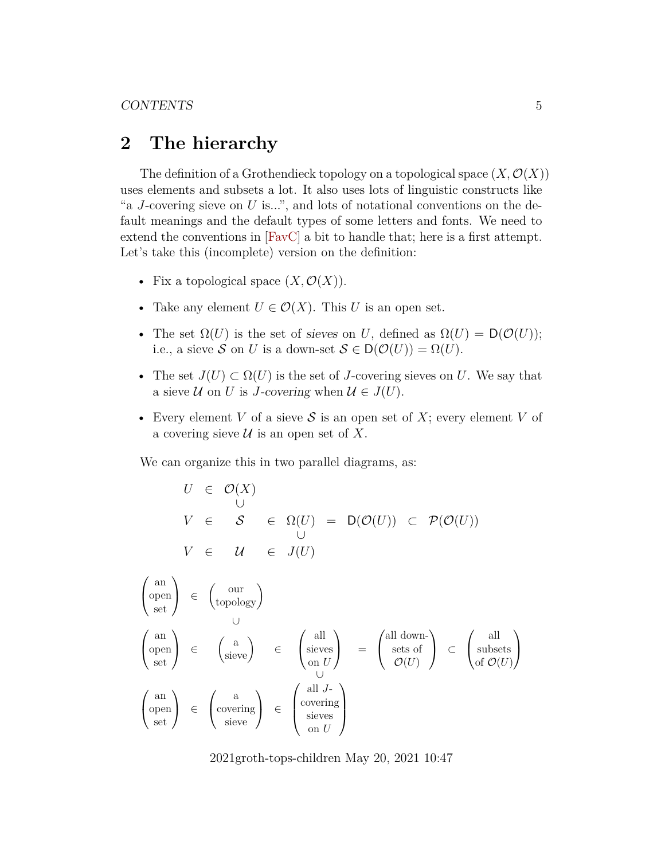## <span id="page-4-0"></span>**2 The hierarchy**

The definition of a Grothendieck topology on a topological space  $(X, \mathcal{O}(X))$ uses elements and subsets a lot. It also uses lots of linguistic constructs like "a J-covering sieve on  $U$  is...", and lots of notational conventions on the default meanings and the default types of some letters and fonts. We need to extend the conventions in [\[FavC\]](#page-43-1) a bit to handle that; here is a first attempt. Let's take this (incomplete) version on the definition:

- Fix a topological space  $(X, \mathcal{O}(X))$ .
- Take any element  $U \in \mathcal{O}(X)$ . This U is an open set.
- The set  $\Omega(U)$  is the set of sieves on U, defined as  $\Omega(U) = D(\mathcal{O}(U));$ i.e., a sieve S on U is a down-set  $S \in D(\mathcal{O}(U)) = \Omega(U)$ .
- The set  $J(U) \subset \Omega(U)$  is the set of J-covering sieves on U. We say that a sieve  $U$  on U is J-covering when  $U \in J(U)$ .
- Every element V of a sieve S is an open set of X; every element V of a covering sieve  $\mathcal U$  is an open set of X.

We can organize this in two parallel diagrams, as:

$$
U \in \mathcal{O}(X)
$$
  
\n
$$
V \in \mathcal{S} \in \Omega(U) = D(\mathcal{O}(U)) \subset \mathcal{P}(\mathcal{O}(U))
$$
  
\n
$$
V \in \mathcal{U} \in J(U)
$$

$$
\begin{pmatrix}\n\text{an} \\
\text{open} \\
\text{set}\n\end{pmatrix} \in \begin{pmatrix}\n\text{our} \\
\text{topology}\n\end{pmatrix}
$$
\n
$$
\begin{pmatrix}\n\text{an} \\
\text{open} \\
\text{set}\n\end{pmatrix} \in \begin{pmatrix}\n\text{a} \\
\text{sieve}\n\end{pmatrix} \in \begin{pmatrix}\n\text{all} \\
\text{sives} \\
\text{on } U\n\end{pmatrix} = \begin{pmatrix}\n\text{all down-} \\
\text{sets of} \\
\mathcal{O}(U)\n\end{pmatrix} \subset \begin{pmatrix}\n\text{all} \\
\text{subsets} \\
\text{of } \mathcal{O}(U)\n\end{pmatrix}
$$
\n
$$
\begin{pmatrix}\n\text{an} \\
\text{open} \\
\text{set}\n\end{pmatrix} \in \begin{pmatrix}\n\text{a} \\
\text{covering} \\
\text{sieve} \\
\text{on } U\n\end{pmatrix} \in \begin{pmatrix}\n\text{all } J \\
\text{covering} \\
\text{sives} \\
\text{on } U\n\end{pmatrix}
$$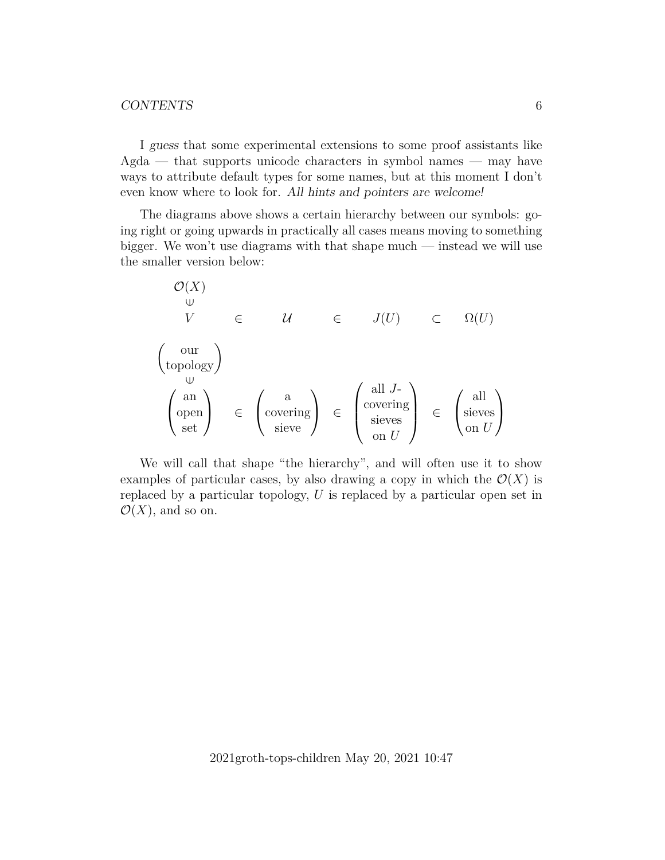I guess that some experimental extensions to some proof assistants like  $Agda$  — that supports unicode characters in symbol names — may have ways to attribute default types for some names, but at this moment I don't even know where to look for. All hints and pointers are welcome!

The diagrams above shows a certain hierarchy between our symbols: going right or going upwards in practically all cases means moving to something bigger. We won't use diagrams with that shape much — instead we will use the smaller version below:

$$
\begin{array}{ccc}\n\mathcal{O}(X) & \bigcup_{\cup} & & \\
V & \in & \mathcal{U} & \in & J(U) & \subset & \Omega(U) \\
\left(\begin{array}{c}\n\text{our} \\
\text{topology}\n\end{array}\right) & \bigcup_{\cup} & & \\
& \left(\begin{array}{c}\n\text{aux} \\
\text{overing} \\
\text{site}\n\end{array}\right) & \in & \left(\begin{array}{c}\n\text{all } J \\
\text{covering} \\
\text{seves} \\
\text{on } U\n\end{array}\right) & \in & \left(\begin{array}{c}\n\text{all} \\
\text{seves} \\
\text{on } U\n\end{array}\right)\n\end{array}
$$

We will call that shape "the hierarchy", and will often use it to show examples of particular cases, by also drawing a copy in which the  $\mathcal{O}(X)$  is replaced by a particular topology, U is replaced by a particular open set in  $\mathcal{O}(X)$ , and so on.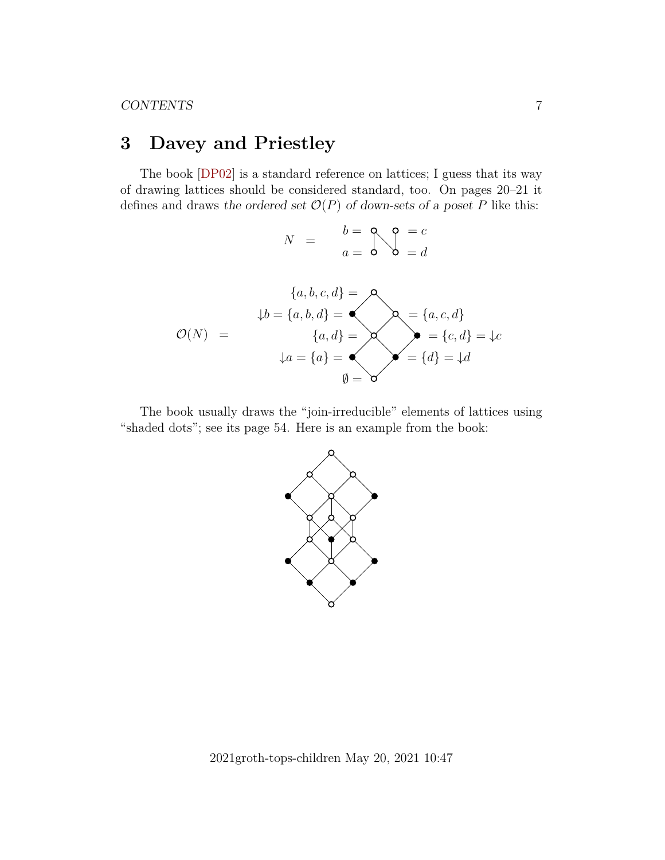# <span id="page-6-0"></span>**3 Davey and Priestley**

The book [\[DP02\]](#page-43-7) is a standard reference on lattices; I guess that its way of drawing lattices should be considered standard, too. On pages 20–21 it defines and draws the ordered set  $\mathcal{O}(P)$  of down-sets of a poset P like this:

$$
N = \begin{array}{c} b = 0 \\ a = 0 \end{array} \bigvee_{i=0}^{n} \begin{array}{c} c = c \\ b = d \end{array}
$$

$$
\{a, b, c, d\} = \text{A}
$$
\n
$$
\mathcal{O}(N) = \begin{cases}\n\{a, b, c, d\} = \text{A} \\
\{a, d\} = \text{A} \\
\{a, d\} = \text{A} \\
\emptyset = \text{B}\n\end{cases}\n\qquad\n\begin{cases}\n\{a, c, d\} = \text{A} \\
\{c, d\} = \text{A} \\
\emptyset = \text{C}\n\end{cases}
$$

The book usually draws the "join-irreducible" elements of lattices using "shaded dots"; see its page 54. Here is an example from the book:



2021groth-tops-children May 20, 2021 10:47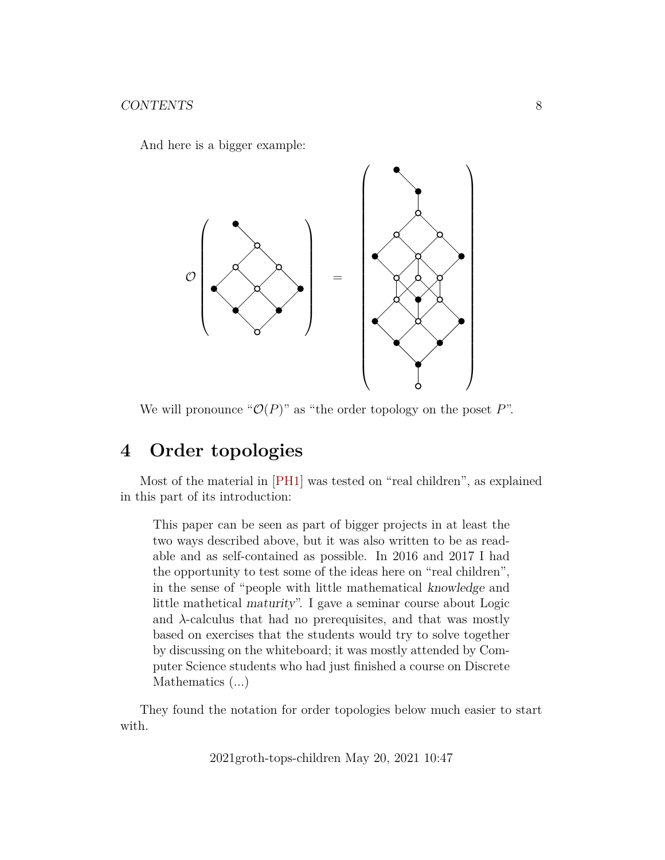And here is a bigger example:



We will pronounce " $\mathcal{O}(P)$ " as "the order topology on the poset P".

# <span id="page-7-0"></span>**4 Order topologies**

Most of the material in [\[PH1\]](#page-43-0) was tested on "real children", as explained in this part of its introduction:

This paper can be seen as part of bigger projects in at least the two ways described above, but it was also written to be as readable and as self-contained as possible. In 2016 and 2017 I had the opportunity to test some of the ideas here on "real children", in the sense of "people with little mathematical knowledge and little mathetical maturity". I gave a seminar course about Logic and  $\lambda$ -calculus that had no prerequisites, and that was mostly based on exercises that the students would try to solve together by discussing on the whiteboard; it was mostly attended by Computer Science students who had just finished a course on Discrete Mathematics  $(\ldots)$ 

They found the notation for order topologies below much easier to start with.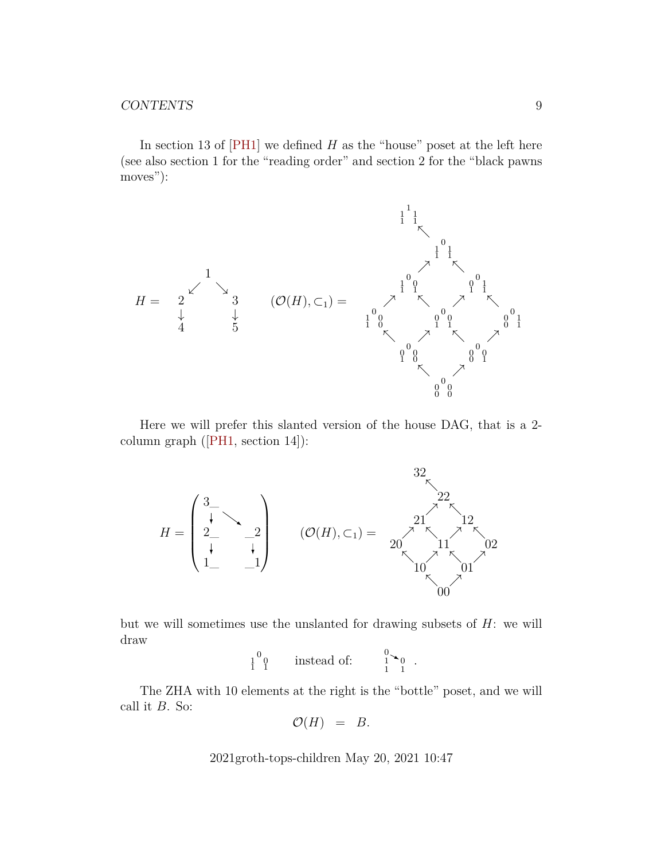In section 13 of  $[PH1]$  we defined H as the "house" poset at the left here (see also section 1 for the "reading order" and section 2 for the "black pawns moves"):



Here we will prefer this slanted version of the house DAG, that is a 2 column graph([\[PH1,](#page-43-0) section 14]):



but we will sometimes use the unslanted for drawing subsets of  $H$ : we will draw

$$
\begin{array}{cc} 1 & 0 \\ 1 & 1 \end{array} \qquad \text{instead of:} \qquad \begin{array}{c} 0 \\ 1 \end{array} \begin{array}{c} 0 \\ 0 \end{array} \end{array}.
$$

The ZHA with 10 elements at the right is the "bottle" poset, and we will call it  $B$ . So:

$$
\mathcal{O}(H) = B.
$$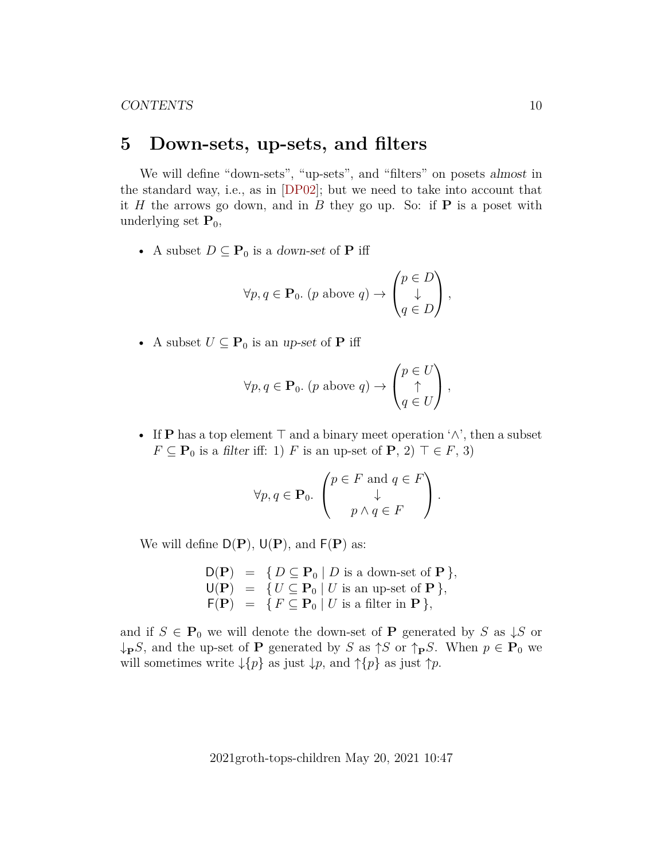## <span id="page-9-0"></span>**5 Down-sets, up-sets, and filters**

We will define "down-sets", "up-sets", and "filters" on posets almost in the standard way, i.e., as in [\[DP02\]](#page-43-7); but we need to take into account that it H the arrows go down, and in B they go up. So: if  $P$  is a poset with underlying set  $P_0$ ,

• A subset  $D \subseteq \mathbf{P}_0$  is a down-set of **P** iff

$$
\forall p, q \in \mathbf{P}_0. \ (p \text{ above } q) \rightarrow \begin{pmatrix} p \in D \\ \downarrow \\ q \in D \end{pmatrix},
$$

• A subset  $U \subseteq \mathbf{P}_0$  is an up-set of **P** iff

$$
\forall p, q \in \mathbf{P}_0. \ (p \text{ above } q) \rightarrow \begin{pmatrix} p \in U \\ \uparrow \\ q \in U \end{pmatrix},
$$

• If P has a top element  $\top$  and a binary meet operation ' $\land$ ', then a subset  $F \subseteq \mathbf{P}_0$  is a filter iff: 1) F is an up-set of  $\mathbf{P}, 2) \top \in F$ , 3)

$$
\forall p, q \in \mathbf{P}_0. \begin{pmatrix} p \in F \text{ and } q \in F \\ \downarrow \\ p \wedge q \in F \end{pmatrix}.
$$

We will define  $D(P)$ ,  $U(P)$ , and  $F(P)$  as:

 $D(P) = \{ D \subseteq P_0 \mid D \text{ is a down-set of } P \},\$  $U(P) = \{ U \subseteq P_0 \mid U \text{ is an up-set of } P \},\$  $F(\mathbf{P}) = \{ F \subseteq \mathbf{P}_0 \mid U \text{ is a filter in } \mathbf{P} \},\$ 

and if  $S \in \mathbf{P}_0$  we will denote the down-set of **P** generated by S as  $\downarrow S$  or  $\downarrow_{\mathbf{P}} S$ , and the up-set of **P** generated by S as  $\uparrow S$  or  $\uparrow_{\mathbf{P}} S$ . When  $p \in \mathbf{P}_0$  we will sometimes write  $\downarrow \{p\}$  as just  $\downarrow p$ , and  $\uparrow \{p\}$  as just  $\uparrow p$ .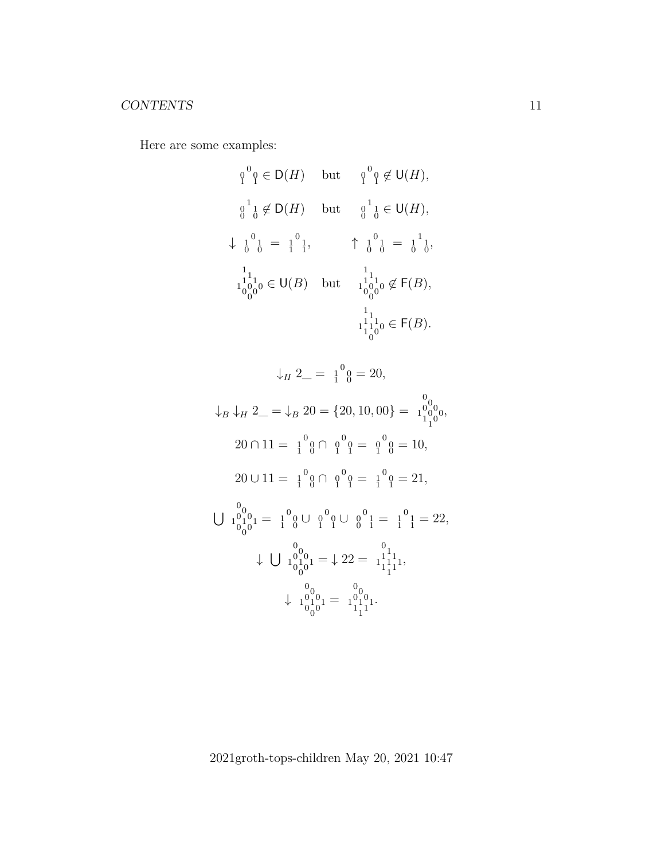Here are some examples:

$$
{}_{1}^{0}{}_{1}^{0} \in D(H) \text{ but } {}_{1}^{0}{}_{1}^{0} \notin U(H),
$$
  

$$
{}_{0}^{1}{}_{1}^{1} \notin D(H) \text{ but } {}_{0}^{1}{}_{1}^{1} \in U(H),
$$
  

$$
\downarrow {}_{0}^{1}{}_{0}^{1} = {}_{1}^{1}{}_{1}^{1}, \qquad \uparrow {}_{0}^{1}{}_{0}^{1} = {}_{0}^{1}{}_{1}^{1},
$$
  

$$
{}_{1}^{1}{}_{0}^{1}{}_{0}^{1}{}_{0} \in U(B) \text{ but } {}_{1}^{1}{}_{0}^{1}{}_{0}^{1}{}_{0}^{1} \notin F(B),
$$
  

$$
{}_{1}^{1}{}_{1}^{1}{}_{0}^{1}{}_{0} \in F(B).
$$

$$
\downarrow_H 2 = \frac{1}{1}^0 \, \emptyset = 20,
$$
\n
$$
\downarrow_B \downarrow_H 2 = \downarrow_B 20 = \{20, 10, 00\} = \frac{0}{1}^0 \, \frac{0}{1}^0 \, \text{or}
$$
\n
$$
20 \cap 11 = \frac{1}{1}^0 \, \emptyset \cap \, \emptyset^0 \, \emptyset = \, \emptyset^0 \, \emptyset = 10,
$$
\n
$$
20 \cup 11 = \frac{1}{1}^0 \, \emptyset \cap \, \emptyset^0 \, \emptyset = \frac{1}{1}^0 \, \emptyset = 21,
$$
\n
$$
\bigcup \, \frac{0}{1}^0 \, \frac{0}{1}^0 \, \text{or} \, \frac{0}{1}^0 \, \emptyset \cup \, \emptyset^0 \, \emptyset = \frac{1}{1}^1 \, \frac{1}{1} = 22,
$$
\n
$$
\downarrow \, \bigcup \, \frac{0}{1}^0 \, \frac{0}{1}^0 \, \text{or} \, \bigcup \, \frac{0}{1}^0 \, \frac{0}{1} = \frac{0}{1}^1 \, \frac{1}{1}^1 \, \text{or}
$$
\n
$$
\downarrow \, \frac{0}{1}^0 \, \frac{0}{1}^0 \, \text{or} \, \frac{0}{1} = \frac{1}{1}^0 \, \frac{1}{1}^1.
$$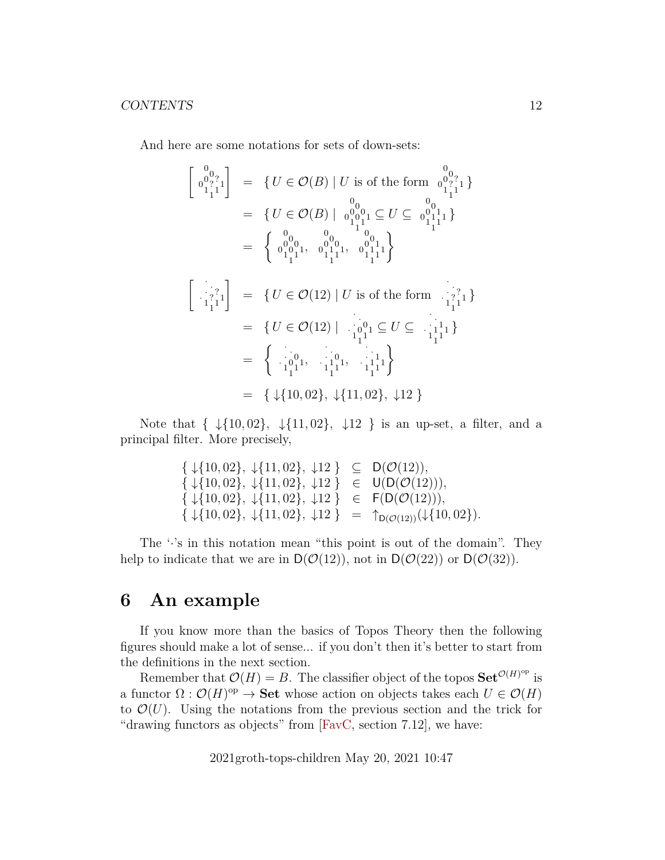And here are some notations for sets of down-sets:

 <sup>0</sup> 0 0 ? 0 ? 1 1 11 = { U ∈ O(B) | U is of the form 0 0 0 ? 0 ? 1 1 11 } = { U ∈ O(B) | 0 0 0 0 0 0 1 1 11 ⊆ U ⊆ 0 0 0 1 0 1 1 1 11 } = <sup>0</sup> 0 0 0 0 0 1 1 11 , 0 0 0 0 0 1 1 1 11 , 0 0 0 1 0 1 1 1 11 · · · ? · ? 1 1 11 = { U ∈ O(12) | U is of the form · · · ? · ? 1 1 11 } = { U ∈ O(12) | · · · 0 · 0 1 1 11 ⊆ U ⊆ · · · 1 · 1 1 1 11 } = · · · 0 · 0 1 1 11 , · · · 0 · 1 1 1 11 , · · · 1 · 1 1 1 11 = { ↓{10, 02}, ↓{11, 02}, ↓12 }

Note that  $\{\ \ \ \{\{10,02\},\ \ \ \ \downarrow{11,02}\},\ \ \ \downarrow{12}\ \}$  is an up-set, a filter, and a principal filter. More precisely,

$$
\{\downarrow\{10,02\}, \downarrow\{11,02\}, \downarrow12\} \subseteq D(\mathcal{O}(12)),\{\downarrow\{10,02\}, \downarrow\{11,02\}, \downarrow12\} \in U(D(\mathcal{O}(12))),\{\downarrow\{10,02\}, \downarrow\{11,02\}, \downarrow12\} \in F(D(\mathcal{O}(12))),\{\downarrow\{10,02\}, \downarrow\{11,02\}, \downarrow12\} = \uparrow_{D(\mathcal{O}(12))}(\downarrow\{10,02\}).
$$

The  $\cdot$ 's in this notation mean "this point is out of the domain". They help to indicate that we are in  $D(\mathcal{O}(12))$ , not in  $D(\mathcal{O}(22))$  or  $D(\mathcal{O}(32))$ .

## <span id="page-11-0"></span>**6 An example**

If you know more than the basics of Topos Theory then the following figures should make a lot of sense... if you don't then it's better to start from the definitions in the next section.

Remember that  $\mathcal{O}(H) = B$ . The classifier object of the topos  $\mathbf{Set}^{\mathcal{O}(H)^{op}}$  is a functor  $\Omega: \mathcal{O}(H)^\text{op} \to \mathbf{Set}$  whose action on objects takes each  $U \in \mathcal{O}(H)$ to  $\mathcal{O}(U)$ . Using the notations from the previous section and the trick for "drawing functors as objects" from [\[FavC,](#page-43-1) section 7.12], we have: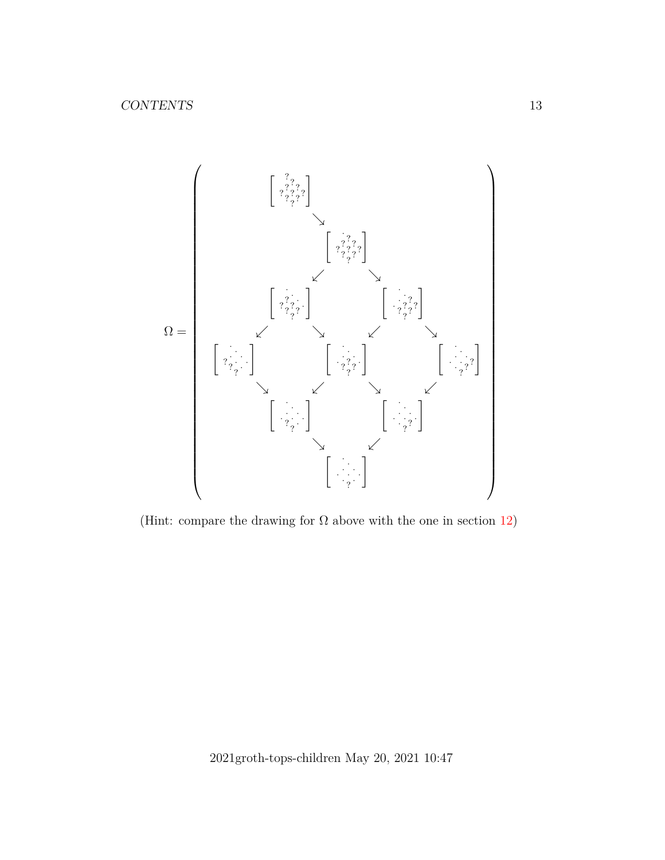

(Hint: compare the drawing for  $\Omega$  above with the one in section [12\)](#page-31-0)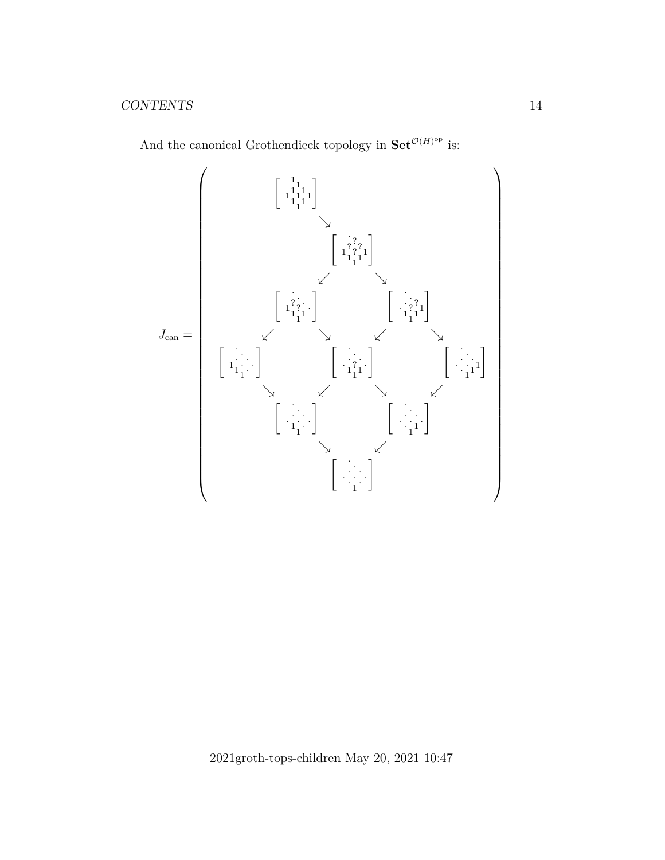

And the canonical Grothendieck topology in  $\operatorname{Set}^{\mathcal{O}(H)^{\text{op}}}$  is: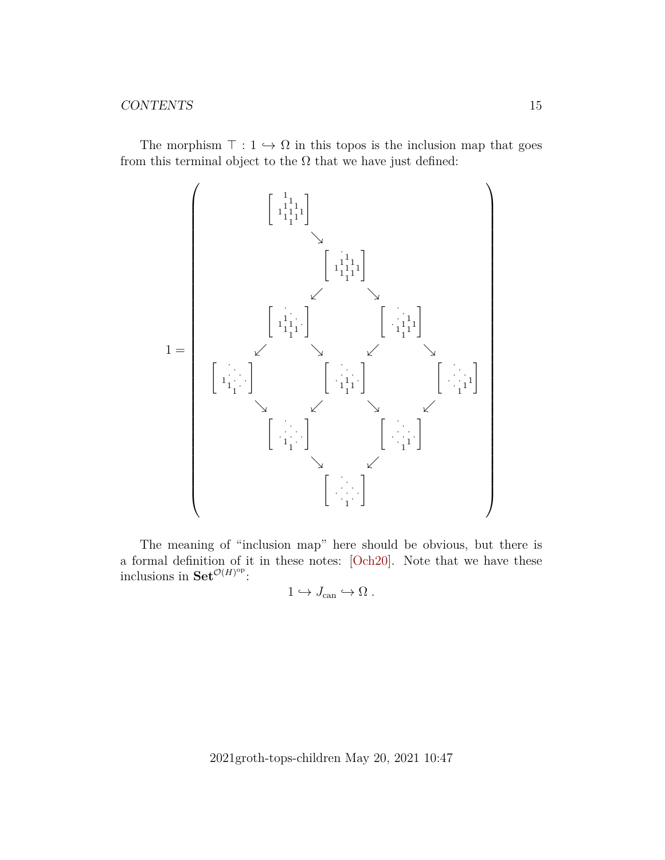The morphism  $\top : 1 \hookrightarrow \Omega$  in this topos is the inclusion map that goes from this terminal object to the  $\Omega$  that we have just defined:



The meaning of "inclusion map" here should be obvious, but there is a formal definition of it in these notes: [\[Och20\]](#page-43-8). Note that we have these inclusions in  $\mathrm{Set}^{\mathcal{O}(H)^\mathrm{op}}$ :

$$
1\hookrightarrow J_{\textrm{can}}\hookrightarrow \Omega
$$
 .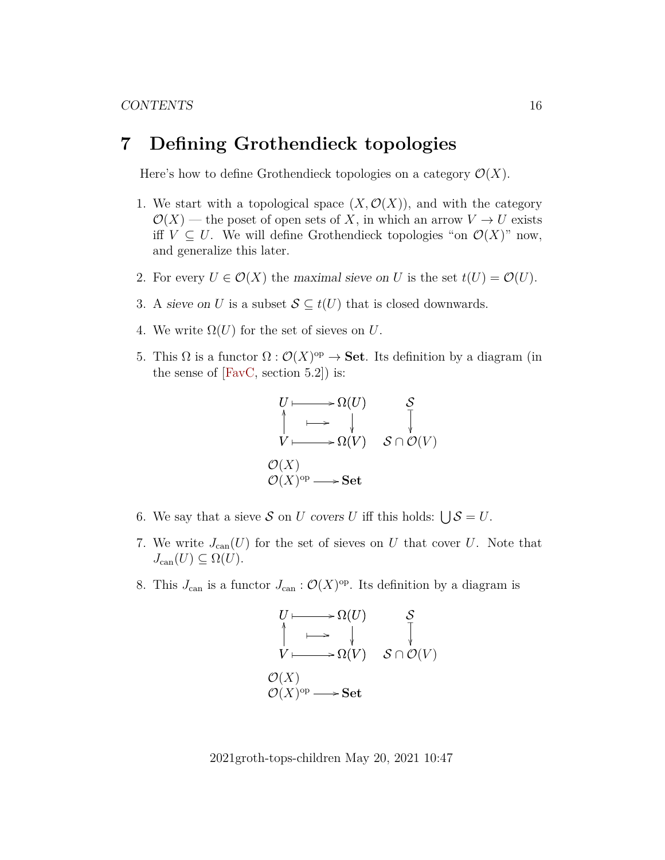## <span id="page-15-0"></span>**7 Defining Grothendieck topologies**

Here's how to define Grothendieck topologies on a category  $\mathcal{O}(X)$ .

- 1. We start with a topological space  $(X, \mathcal{O}(X))$ , and with the category  $\mathcal{O}(X)$  — the poset of open sets of X, in which an arrow  $V \to U$  exists iff  $V \subseteq U$ . We will define Grothendieck topologies "on  $\mathcal{O}(X)$ " now, and generalize this later.
- 2. For every  $U \in \mathcal{O}(X)$  the maximal sieve on U is the set  $t(U) = \mathcal{O}(U)$ .
- 3. A sieve on U is a subset  $S \subseteq t(U)$  that is closed downwards.
- 4. We write  $\Omega(U)$  for the set of sieves on U.
- 5. This Ω is a functor  $\Omega$ :  $\mathcal{O}(X)$ <sup>op</sup>  $\to$  **Set**. Its definition by a diagram (in the sense of  $[{\rm FavC,~section~5.2}])$  is:

$$
U \longmapsto \Omega(U) \qquad S
$$
  
\n
$$
\uparrow \longmapsto \qquad \qquad \downarrow \qquad \qquad \downarrow
$$
  
\n
$$
V \longmapsto \Omega(V) \qquad S \cap \mathcal{O}(V)
$$
  
\n
$$
\mathcal{O}(X)
$$
  
\n
$$
\mathcal{O}(X)^{op} \longrightarrow Set
$$

- 6. We say that a sieve S on U covers U iff this holds:  $\bigcup \mathcal{S} = U$ .
- 7. We write  $J_{\text{can}}(U)$  for the set of sieves on U that cover U. Note that  $J_{\text{can}}(U) \subseteq \Omega(U)$ .
- 8. This  $J_{\text{can}}$  is a functor  $J_{\text{can}} : \mathcal{O}(X)^{\text{op}}$ . Its definition by a diagram is

$$
U \longmapsto \Omega(U) \qquad S
$$
  
\n
$$
\uparrow \longmapsto \qquad \qquad \downarrow \qquad \qquad \downarrow
$$
  
\n
$$
V \longmapsto \Omega(V) \qquad S \cap \mathcal{O}(V)
$$
  
\n
$$
\mathcal{O}(X)
$$
  
\n
$$
\mathcal{O}(X)^{op} \longrightarrow Set
$$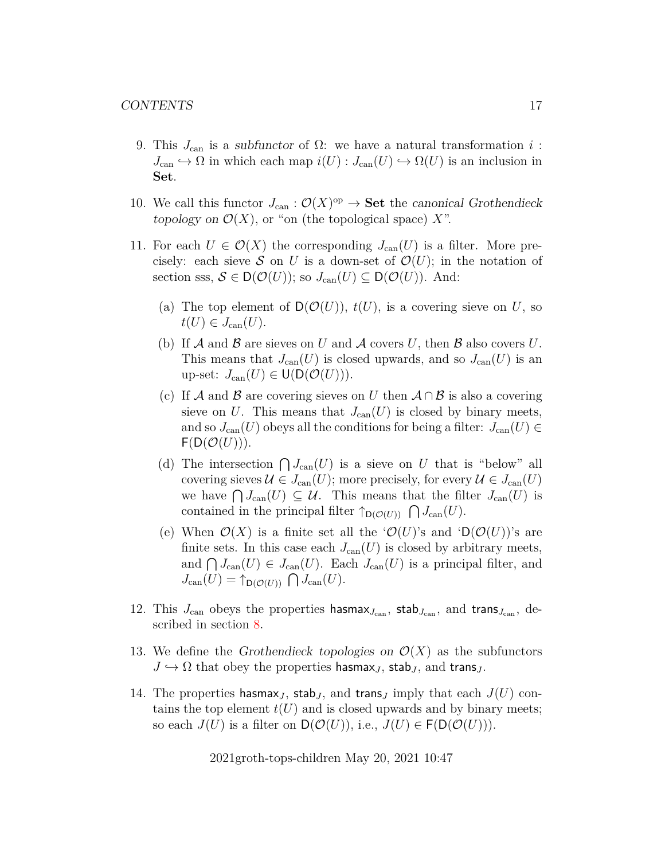- 9. This  $J_{\text{can}}$  is a subfunctor of  $\Omega$ : we have a natural transformation i:  $J_{\text{can}} \hookrightarrow \Omega$  in which each map  $i(U) : J_{\text{can}}(U) \hookrightarrow \Omega(U)$  is an inclusion in Set.
- 10. We call this functor  $J_{\text{can}} : \mathcal{O}(X)^{\text{op}} \to \mathbf{Set}$  the canonical Grothendieck topology on  $\mathcal{O}(X)$ , or "on (the topological space) X".
- 11. For each  $U \in \mathcal{O}(X)$  the corresponding  $J_{\text{can}}(U)$  is a filter. More precisely: each sieve S on U is a down-set of  $\mathcal{O}(U)$ ; in the notation of section sss,  $S \in D(\mathcal{O}(U))$ ; so  $J_{\text{can}}(U) \subseteq D(\mathcal{O}(U))$ . And:
	- (a) The top element of  $\mathsf{D}(\mathcal{O}(U)), t(U)$ , is a covering sieve on U, so  $t(U) \in J_{\text{can}}(U)$ .
	- (b) If  $A$  and  $B$  are sieves on U and  $A$  covers U, then  $B$  also covers U. This means that  $J_{\text{can}}(U)$  is closed upwards, and so  $J_{\text{can}}(U)$  is an up-set:  $J_{\text{can}}(U) \in U(D(\mathcal{O}(U))).$
	- (c) If A and B are covering sieves on U then  $A \cap B$  is also a covering sieve on U. This means that  $J_{\text{can}}(U)$  is closed by binary meets, and so  $J_{\text{can}}(U)$  obeys all the conditions for being a filter:  $J_{\text{can}}(U) \in$  $F(D(\mathcal{O}(U))).$
	- (d) The intersection  $\bigcap J_{\text{can}}(U)$  is a sieve on U that is "below" all covering sieves  $\mathcal{U} \in J_{\text{can}}(U)$ ; more precisely, for every  $\mathcal{U} \in J_{\text{can}}(U)$ we have  $\bigcap J_{\mathrm{can}}(U) \subseteq \mathcal{U}$ . This means that the filter  $J_{\mathrm{can}}(U)$  is contained in the principal filter  $\uparrow_{\mathsf{D}(\mathcal{O}(U))} \bigcap J_{\text{can}}(U)$ .
	- (e) When  $\mathcal{O}(X)$  is a finite set all the  $\mathcal{O}(U)$ 's and  $\mathcal{O}(\mathcal{O}(U))$ 's are finite sets. In this case each  $J_{\text{can}}(U)$  is closed by arbitrary meets, and  $\bigcap J_{\text{can}}(U) \in J_{\text{can}}(U)$ . Each  $J_{\text{can}}(U)$  is a principal filter, and  $J_{\text{can}}(U) = \uparrow_{\mathsf{D}(\mathcal{O}(U))} \bigcap J_{\text{can}}(U).$
- 12. This  $J_{\text{can}}$  obeys the properties hasmax<sub> $J_{\text{can}}$ </sub>, stab<sub> $J_{\text{can}}$ </sub>, and trans<sub> $J_{\text{can}}$ </sub>, described in section [8.](#page-17-0)
- 13. We define the Grothendieck topologies on  $\mathcal{O}(X)$  as the subfunctors  $J \hookrightarrow \Omega$  that obey the properties hasmax<sub>J</sub>, stab<sub>J</sub>, and trans<sub>J</sub>.
- 14. The properties hasmax<sub>J</sub>, stab<sub>J</sub>, and trans<sub>J</sub> imply that each  $J(U)$  contains the top element  $t(U)$  and is closed upwards and by binary meets; so each  $J(U)$  is a filter on  $\mathsf{D}(\mathcal{O}(U))$ , i.e.,  $J(U) \in \mathsf{F}(\mathsf{D}(\mathcal{O}(U)))$ .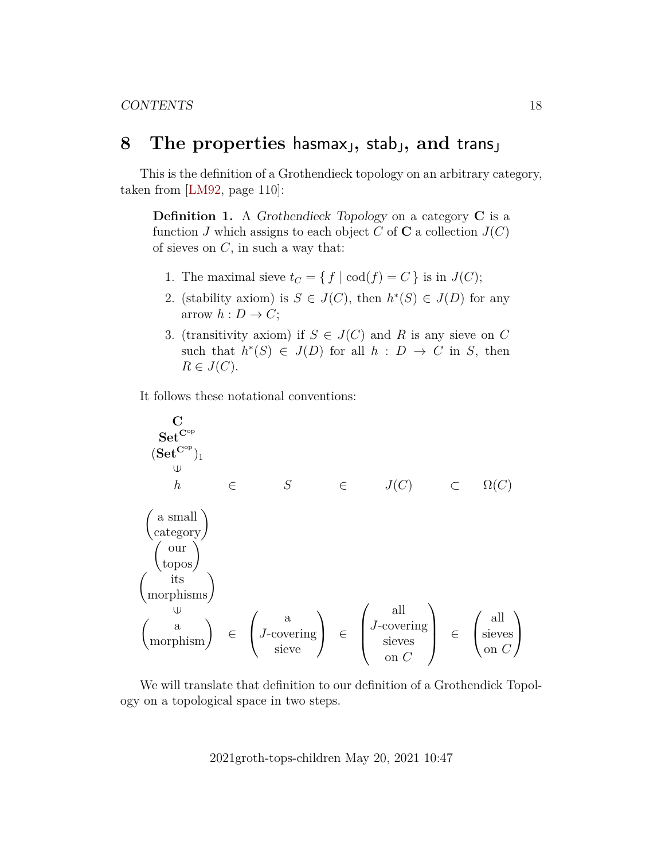## <span id="page-17-0"></span>**8** The properties hasmax<sub>J</sub>, stab<sub>J</sub>, and trans<sub>J</sub>

This is the definition of a Grothendieck topology on an arbitrary category, taken from [\[LM92,](#page-43-3) page 110]:

**Definition 1.** A Grothendieck Topology on a category C is a function J which assigns to each object C of C a collection  $J(C)$ of sieves on  $C$ , in such a way that:

- 1. The maximal sieve  $t_C = \{ f | \text{cod}(f) = C \}$  is in  $J(C)$ ;
- 2. (stability axiom) is  $S \in J(C)$ , then  $h^*(S) \in J(D)$  for any arrow  $h: D \to C$ ;
- 3. (transitivity axiom) if  $S \in J(C)$  and R is any sieve on C such that  $h^*(S) \in J(D)$  for all  $h : D \to C$  in S, then  $R \in J(C)$ .

It follows these notational conventions:

$$
\begin{array}{ccc}\n\mathbf{C} & \mathbf{Set}^{\mathbf{C}^{\mathrm{op}}} \\
(\mathbf{Set}^{\mathbf{C}^{\mathrm{op}}})_{1} & & \downarrow \\
h & h & \in & S \\
\text{(a small)} & \text{(category)} & \\
\text{(int) } & \text{(top)} & \\
\text{(top)} & & \\
\text{(top)} & & \\
\text{(top)} & & \\
\text{(top)} & & \\
\text{(top)} & & \\
\text{(top)} & & \\
\text{(top)} & & \\
\text{(top)} & & \\
\text{(top)} & & \\
\text{(top)} & & \\
\text{(top)} & & \\
\text{(top)} & & \\
\text{(top)} & & \\
\text{(top)} & & \\
\text{(top)} & & \\
\text{(top)} & & \\
\text{(top)} & & \\
\text{(top)} & & \\
\text{(top)} & & \\
\text{(top)} & & \\
\text{(top)} & & \\
\text{(top)} & & \\
\text{(top)} & & \\
\text{(top)} & & \\
\text{(top)} & & \\
\text{(top)} & & \\
\text{(top)} & & \\
\text{(top)} & & \\
\text{(top)} & & \\
\text{(top)} & & \\
\text{(top)} & & \\
\text{(top)} & & \\
\text{(top)} & & \\
\text{(top)} & & \\
\text{(top)} & & \\
\text{(top)} & & \\
\text{(top)} & & \\
\text{(top)} & & \\
\text{(top)} & & \\
\text{(top)} & & \\
\text{(top)} & & \\
\text{(top)} & & \\
\text{(top)} & & \\
\text{(top)} & & \\
\text{(top)} & & \\
\text{(top)} & & \\
\text{(top)} & & \\
\text{(top)} & & \\
\text{(top)} & & \\
\text{(top)} & & \\
\text{(top)} & & \\
\text{(top)} & & \\
\text{(top)} & & \\
\text
$$

We will translate that definition to our definition of a Grothendick Topology on a topological space in two steps.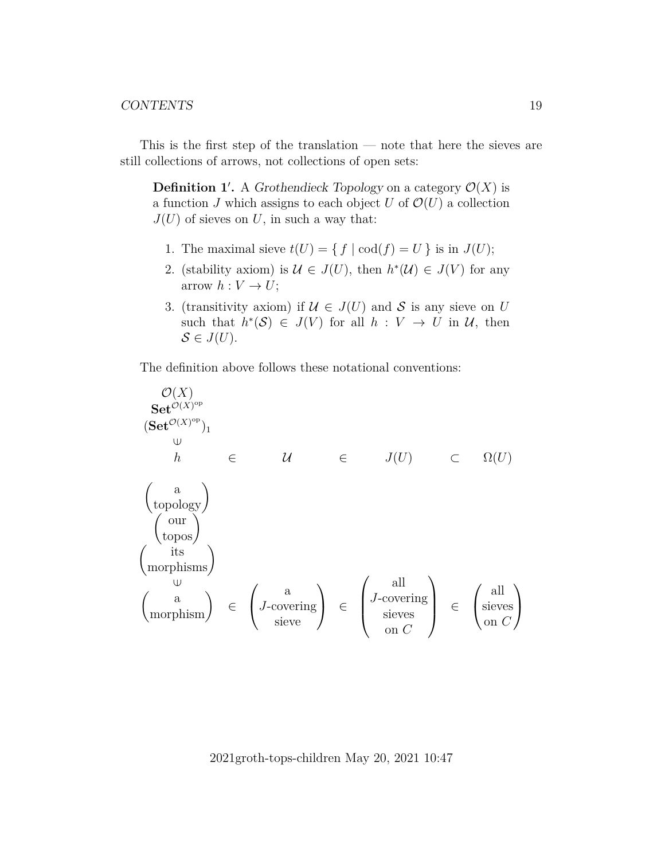This is the first step of the translation — note that here the sieves are still collections of arrows, not collections of open sets:

**Definition 1'.** A Grothendieck Topology on a category  $\mathcal{O}(X)$  is a function J which assigns to each object U of  $\mathcal{O}(U)$  a collection  $J(U)$  of sieves on U, in such a way that:

- 1. The maximal sieve  $t(U) = \{ f | \text{cod}(f) = U \}$  is in  $J(U)$ ;
- 2. (stability axiom) is  $\mathcal{U} \in J(U)$ , then  $h^*(\mathcal{U}) \in J(V)$  for any arrow  $h: V \to U$ ;
- 3. (transitivity axiom) if  $U \in J(U)$  and S is any sieve on U such that  $h^*(\mathcal{S}) \in J(V)$  for all  $h: V \to U$  in  $\mathcal{U}$ , then  $S \in J(U)$ .

The definition above follows these notational conventions:

$$
\mathcal{O}(X)
$$
\nSet<sup>O(X)</sup>  
\nSet<sup>O(X)</sup><sup>op</sup>  
\n( $\omega$   
\nh  
\n $h$   
\n $\epsilon$   
\n $U$   
\n $\begin{pmatrix}\na \\
\text{topology}\n\end{pmatrix}$   
\n $\begin{pmatrix}\na \\
\text{topphys}\n\end{pmatrix}$   
\n $\begin{pmatrix}\n\text{our} \\
\text{topphys}\n\end{pmatrix}$   
\n $\begin{pmatrix}\n\text{its} \\
\text{morphisms}\n\end{pmatrix}$   
\n $\begin{pmatrix}\na \\
J\text{-covering}\n\end{pmatrix}$   
\n $\begin{pmatrix}\na \\
J\text{-covering}\n\end{pmatrix}$   
\n $\begin{pmatrix}\na \\
\text{sieves}\n\end{pmatrix}$   
\n $\begin{pmatrix}\na \\
\text{sieves}\n\end{pmatrix}$   
\n $\begin{pmatrix}\na \\
\text{sieves}\n\end{pmatrix}$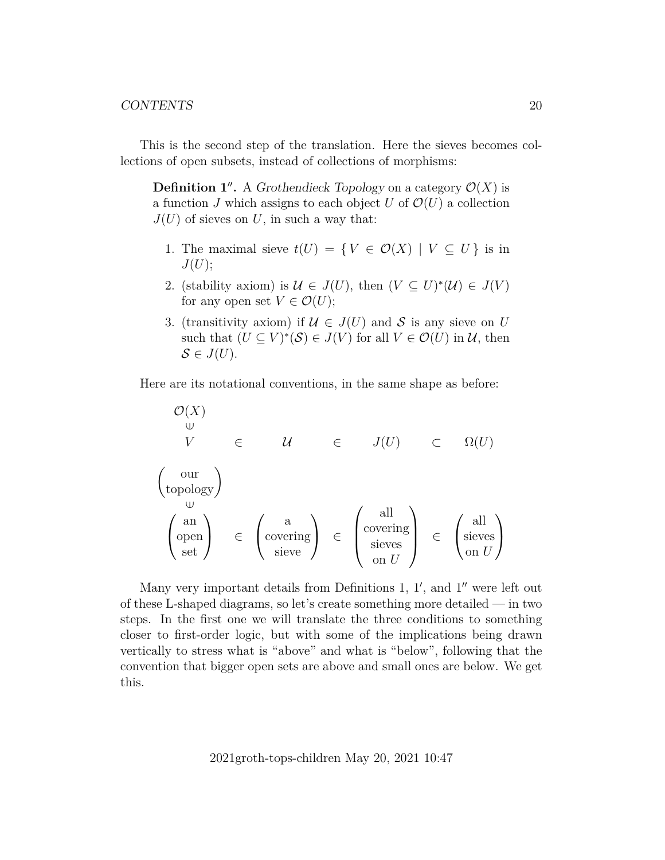This is the second step of the translation. Here the sieves becomes collections of open subsets, instead of collections of morphisms:

**Definition 1''.** A Grothendieck Topology on a category  $\mathcal{O}(X)$  is a function J which assigns to each object U of  $\mathcal{O}(U)$  a collection  $J(U)$  of sieves on U, in such a way that:

- 1. The maximal sieve  $t(U) = \{ V \in \mathcal{O}(X) \mid V \subseteq U \}$  is in  $J(U);$
- 2. (stability axiom) is  $\mathcal{U} \in J(U)$ , then  $(V \subseteq U)^*(\mathcal{U}) \in J(V)$ for any open set  $V \in \mathcal{O}(U)$ ;
- 3. (transitivity axiom) if  $U \in J(U)$  and S is any sieve on U such that  $(U \subseteq V)^*(S) \in J(V)$  for all  $V \in \mathcal{O}(U)$  in  $\mathcal{U}$ , then  $S \in J(U)$ .

Here are its notational conventions, in the same shape as before:

$$
\begin{array}{ccc}\n\mathcal{O}(X) & \bigcup_{\mathsf{U}} & \mathsf{U} & \mathsf{U} & \mathsf{U} & \mathsf{U} \\
\mathsf{U} & \mathsf{U} & \mathsf{U} & \mathsf{U} & \mathsf{U} & \mathsf{U} & \mathsf{U} \\
\end{array}\n\begin{array}{ccc}\n\text{our} \\
\text{topology} \\
\end{array}\n\end{array}\n\quad\n\begin{array}{ccc}\n\mathcal{U} & \mathsf{U} & \mathsf{U} & \mathsf{U} & \mathsf{U} & \mathsf{U} \\
\end{array}\n\quad\n\begin{array}{ccc}\n\mathcal{U} & \mathsf{U} & \mathsf{U} & \mathsf{U} & \mathsf{U} \\
\end{array}\n\quad\n\begin{array}{ccc}\n\mathcal{U} & \mathsf{U} & \mathsf{U} & \mathsf{U} \\
\end{array}\n\quad\n\begin{array}{ccc}\n\mathcal{U} & \mathsf{U} & \mathsf{U} & \mathsf{U} \\
\end{array}\n\end{array}
$$

Many very important details from Definitions  $1, 1',$  and  $1''$  were left out of these L-shaped diagrams, so let's create something more detailed — in two steps. In the first one we will translate the three conditions to something closer to first-order logic, but with some of the implications being drawn vertically to stress what is "above" and what is "below", following that the convention that bigger open sets are above and small ones are below. We get this.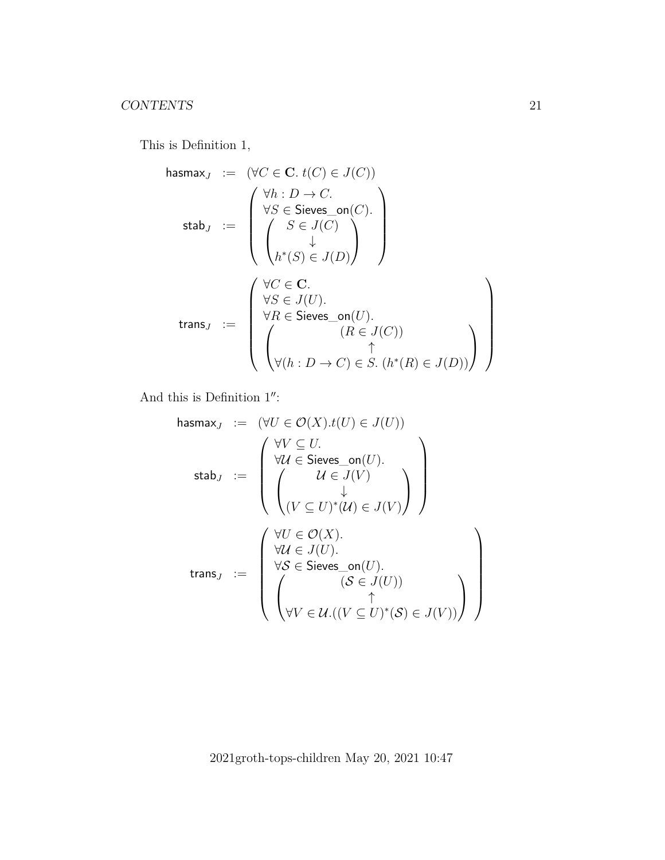This is Definition 1,

hasmax<sup>J</sup> := (∀C ∈ C. t(C) ∈ J(C)) stab<sup>J</sup> := ∀h : D → C. ∀ S ∈ Sieves\_on(C). S ∈ J(C) ↓ h ∗ (S) ∈ J(D) trans<sup>J</sup> := ∀C ∈ C. ∀S ∈ J(U). ∀ R ∈ Sieves\_on(U). (R ∈ J(C)) ↑ ∀(h : D → C) ∈ S. (h ∗ (R) ∈ J(D)) 

And this is Definition  $1$ ":

hasmax<sup>J</sup> := (∀U ∈ O(X).t(U) ∈ J(U)) stab<sup>J</sup> := ∀V ⊆ U. ∀U ∈ Sieves\_on(U). U ∈ J(V ) ↓ (V ⊆ U) ∗ (U) ∈ J(V ) trans<sup>J</sup> := ∀U ∈ O(X). ∀U ∈ J(U). ∀S ∈ Sieves\_on(U). (S ∈ J(U)) ↑ ∀V ∈ U.((V ⊆ U) ∗ (S) ∈ J(V ))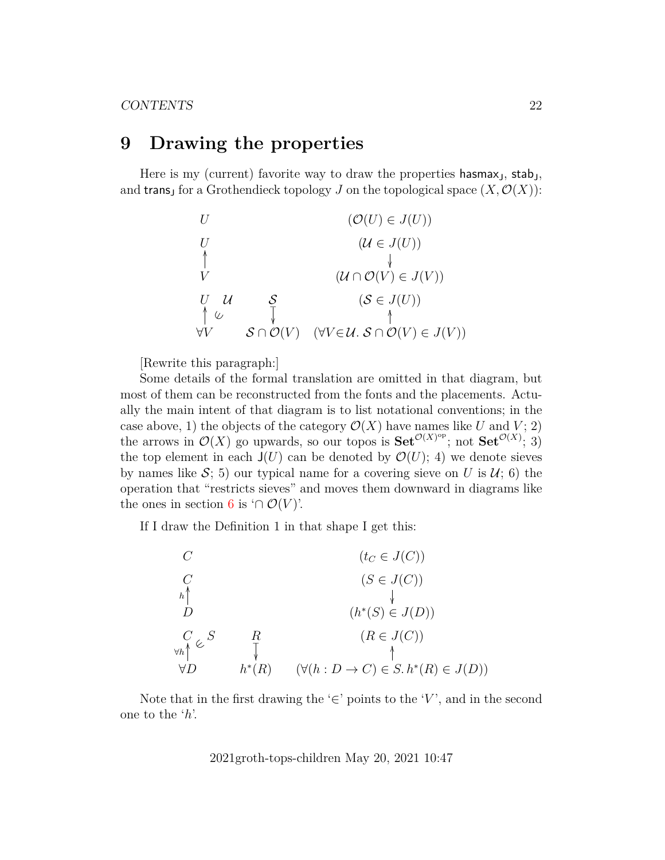## <span id="page-21-0"></span>**9 Drawing the properties**

Here is my (current) favorite way to draw the properties hasmax<sub>J</sub>, stab<sub>J</sub>, and trans<sub>J</sub> for a Grothendieck topology J on the topological space  $(X, \mathcal{O}(X))$ :

| $U$                                                                     | $(\mathcal{O}(U) \in J(U))$                  |     |
|-------------------------------------------------------------------------|----------------------------------------------|-----|
| $U$                                                                     | $(\mathcal{U} \in J(U))$                     |     |
| $\uparrow$                                                              | $\downarrow$                                 |     |
| $V$                                                                     | $(\mathcal{U} \cap \mathcal{O}(V) \in J(V))$ |     |
| $U$                                                                     | $U$                                          | $S$ |
| $(\mathcal{S} \in J(U))$                                                |                                              |     |
| $\uparrow \cup$                                                         | $\downarrow$                                 |     |
| $\forall V$                                                             | $S \cap \mathcal{O}(V)$                      |     |
| $(\forall V \in \mathcal{U}, \mathcal{S} \cap \mathcal{O}(V) \in J(V))$ |                                              |     |

[Rewrite this paragraph:]

Some details of the formal translation are omitted in that diagram, but most of them can be reconstructed from the fonts and the placements. Actually the main intent of that diagram is to list notational conventions; in the case above, 1) the objects of the category  $\mathcal{O}(X)$  have names like U and V; 2) the arrows in  $\mathcal{O}(X)$  go upwards, so our topos is  $\textbf{Set}^{\mathcal{O}(X)^\text{op}}$ ; not  $\textbf{Set}^{\mathcal{O}(X)}$ ; 3) the top element in each  $J(U)$  can be denoted by  $\mathcal{O}(U)$ ; 4) we denote sieves by names like S; 5) our typical name for a covering sieve on U is  $\mathcal{U}$ ; 6) the operation that "restricts sieves" and moves them downward in diagrams like the ones in section [6](#page-11-0) is ' $\cap \mathcal{O}(V)$ '.

If I draw the Definition 1 in that shape I get this:



Note that in the first drawing the ' $\in$ ' points to the 'V', and in the second one to the 'h'.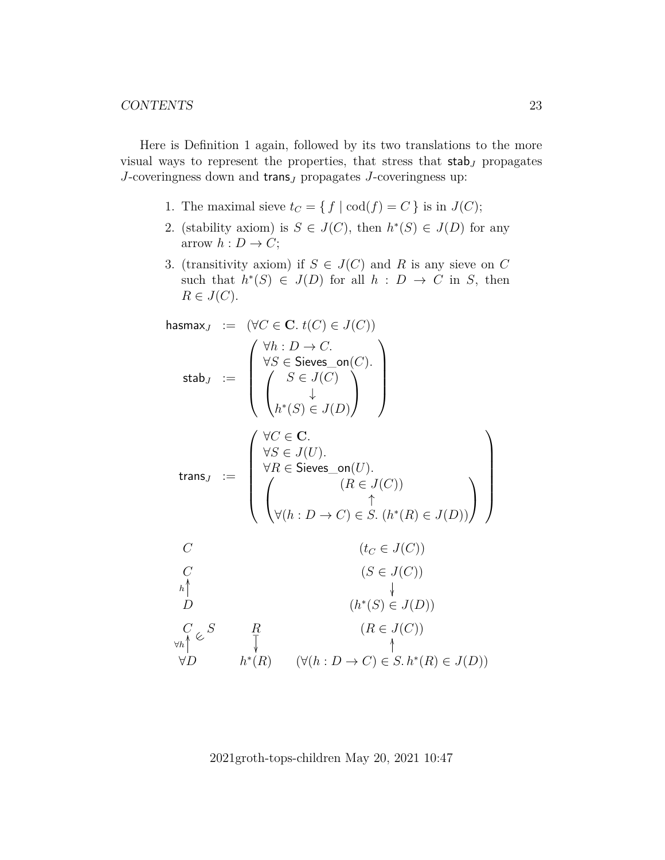Here is Definition 1 again, followed by its two translations to the more visual ways to represent the properties, that stress that  $stab_J$  propagates  $J$ -coveringness down and trans $J$  propagates  $J$ -coveringness up:

- 1. The maximal sieve  $t_C = \{ f | \text{cod}(f) = C \}$  is in  $J(C)$ ;
- 2. (stability axiom) is  $S \in J(C)$ , then  $h^*(S) \in J(D)$  for any arrow  $h: D \to C$ ;
- 3. (transitivity axiom) if  $S \in J(C)$  and R is any sieve on C such that  $h^*(S) \in J(D)$  for all  $h : D \to C$  in S, then  $R \in J(C)$ .

$$
\begin{array}{rcl}\n\text{hasmax}_{J} & := & (\forall C \in \mathbf{C}. \ t(C) \in J(C)) \\
\text{stab}_{J} & := & \begin{pmatrix} \forall h: D \rightarrow C. \\
\forall S \in \mathsf{Seives\_on}(C). \\
\downarrow \end{pmatrix} \\
\text{stab}_{J} & := & \begin{pmatrix} \forall C \in \mathbf{C}. \\
\downarrow \end{pmatrix} \\
\text{atab}_{J} & := & \begin{pmatrix} \forall C \in \mathbf{C}. \\
\downarrow \end{pmatrix} \\
\text{atab}_{J} & := & \begin{pmatrix} \forall C \in \mathbf{C}. \\
\downarrow \end{pmatrix} \\
\text{atab}_{J} & := & \begin{pmatrix} \forall C \in \mathbf{C}. \\
\downarrow \end{pmatrix} \\
\text{atab}_{J} & \begin{pmatrix} S \in J(C). \\
\downarrow \end{pmatrix} \\
\text{atab}_{J} & \begin{pmatrix} S \in J(C). \\
\downarrow \end{pmatrix} \\
\text{atab}_{J} & \begin{pmatrix} \forall C \in \mathbf{C}. \\
\downarrow \end{pmatrix} \\
\text{atab}_{J} & \begin{pmatrix} \forall C \in \mathbf{C}. \\
\downarrow \end{pmatrix} \\
\text{atab}_{J} & \begin{pmatrix} \forall C \in \mathbf{C}. \\
\downarrow \end{pmatrix} \\
\text{atab}_{J} & \begin{pmatrix} \forall F \in \mathbf{C}. \\
\downarrow \end{pmatrix} \\
\text{atab}_{J} & \begin{pmatrix} \forall F \in \mathbf{C}. \\
\downarrow \end{pmatrix} \\
\text{atab}_{J} & \begin{pmatrix} \forall F \in \mathbf{C}. \\
\downarrow \end{pmatrix} \\
\text{atab}_{J} & \begin{pmatrix} \forall F \in \mathbf{C}. \\
\downarrow \end{pmatrix} \\
\text{atab}_{J} & \begin{pmatrix} \forall F \in \mathbf{C}. \\
\downarrow \end{pmatrix} \\
\text{atab}_{J} & \begin{pmatrix} \forall F \in \mathbf{C}. \\
\downarrow \end{pmatrix} \\
\text{atab}_{J} & \begin{pmatrix} \forall F \in \mathbf{C}. \\
\downarrow \end{pmatrix} \\
\text{atab}_{J} & \begin{pmatrix} \forall F \in \mathbf{C}. \\
$$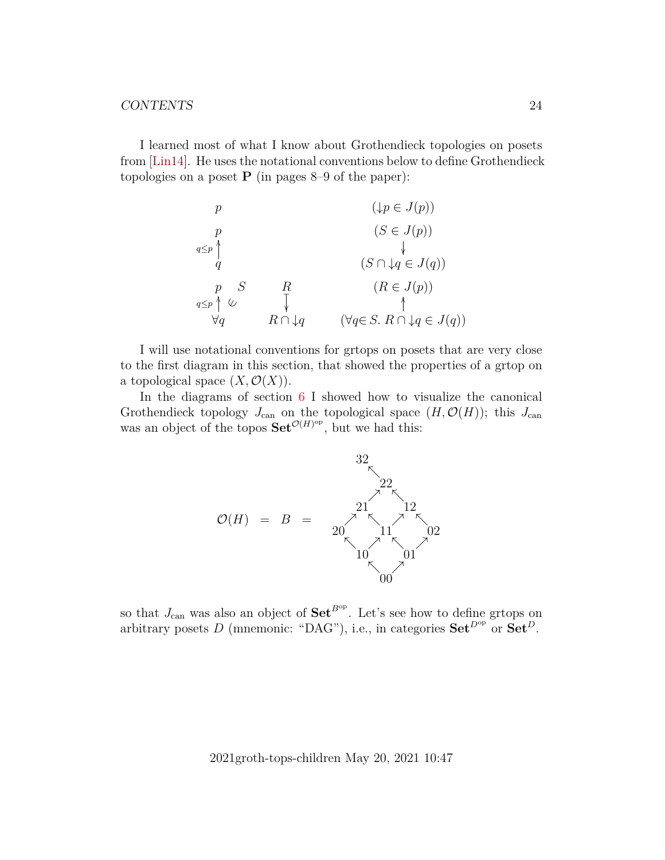I learned most of what I know about Grothendieck topologies on posets from [\[Lin14\]](#page-43-4). He uses the notational conventions below to define Grothendieck topologies on a poset  $P$  (in pages 8–9 of the paper):

$$
p \qquad (\downarrow p \in J(p))
$$
\n
$$
q
$$
\n
$$
q
$$
\n
$$
q
$$
\n
$$
q
$$
\n
$$
q
$$
\n
$$
q
$$
\n
$$
q
$$
\n
$$
q
$$
\n
$$
q
$$
\n
$$
q
$$
\n
$$
q
$$
\n
$$
\forall q
$$
\n
$$
R \cap \downarrow q
$$
\n
$$
(\forall q \in S. \ R \cap \downarrow q \in J(q))
$$

I will use notational conventions for grtops on posets that are very close to the first diagram in this section, that showed the properties of a grtop on a topological space  $(X, \mathcal{O}(X))$ .

In the diagrams of section  $6 \text{ I}$  $6 \text{ I}$  showed how to visualize the canonical Grothendieck topology  $J_{\text{can}}$  on the topological space  $(H, \mathcal{O}(H))$ ; this  $J_{\text{can}}$ was an object of the topos  $\mathbf{Set}^{\mathcal{O}(H)^\text{op}}$ , but we had this:



so that  $J_{\text{can}}$  was also an object of  $\textbf{Set}^{B^{\text{op}}}$ . Let's see how to define grtops on arbitrary posets D (mnemonic: "DAG"), i.e., in categories  $\mathbf{Set}^{D^{op}}$  or  $\mathbf{Set}^{D}$ .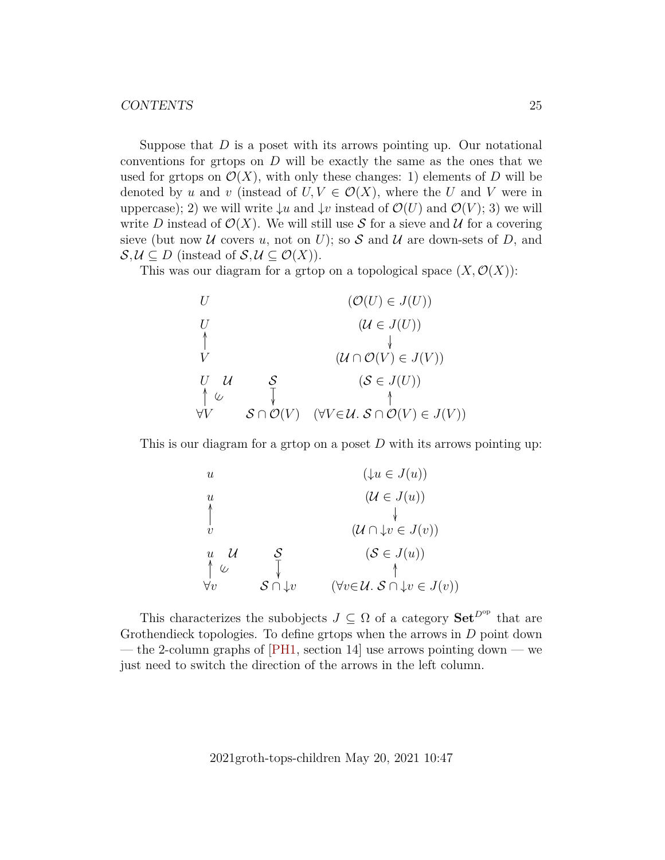Suppose that  $D$  is a poset with its arrows pointing up. Our notational conventions for groups on  $D$  will be exactly the same as the ones that we used for grtops on  $\mathcal{O}(X)$ , with only these changes: 1) elements of D will be denoted by u and v (instead of  $U, V \in \mathcal{O}(X)$ , where the U and V were in uppercase); 2) we will write  $\downarrow u$  and  $\downarrow v$  instead of  $\mathcal{O}(U)$  and  $\mathcal{O}(V)$ ; 3) we will write D instead of  $\mathcal{O}(X)$ . We will still use S for a sieve and U for a covering sieve (but now U covers u, not on U); so S and U are down-sets of D, and  $\mathcal{S}, \mathcal{U} \subseteq D$  (instead of  $\mathcal{S}, \mathcal{U} \subseteq \mathcal{O}(X)$ ).

This was our diagram for a grtop on a topological space  $(X, \mathcal{O}(X))$ :

| $U$             | $(\mathcal{O}(U) \in J(U))$                  |                                                                         |
|-----------------|----------------------------------------------|-------------------------------------------------------------------------|
| $U$             | $(\mathcal{U} \in J(U))$                     |                                                                         |
| $\uparrow$      | $\downarrow$                                 |                                                                         |
| $V$             | $(\mathcal{U} \cap \mathcal{O}(V) \in J(V))$ |                                                                         |
| $U$             | $\mathcal{U}$                                | $(\mathcal{S} \in J(U))$                                                |
| $\uparrow \cup$ | $\uparrow$                                   | $(\mathcal{S} \in J(U))$                                                |
| $\forall V$     | $\mathcal{S} \cap \mathcal{O}(V)$            | $(\forall V \in \mathcal{U}, \mathcal{S} \cap \mathcal{O}(V) \in J(V))$ |

This is our diagram for a grtop on a poset  $D$  with its arrows pointing up:

$$
\begin{array}{cccc}\n u & & & (\downarrow u \in J(u)) \\
 u & & & & (\downarrow u \in J(u)) \\
 \uparrow & & & & \downarrow \\
 v & & & & (\mathcal{U} \cap \downarrow v \in J(v)) \\
 u & \downarrow & & \mathcal{S} & & (\mathcal{S} \in J(u)) \\
 \uparrow \cup & & \uparrow & & \uparrow \\
 \forall v & & & \mathcal{S} \cap \downarrow v & & (\forall v \in \mathcal{U}. \mathcal{S} \cap \downarrow v \in J(v))\n \end{array}
$$

This characterizes the subobjects  $J \subseteq \Omega$  of a category  $\mathbf{Set}^{D^{op}}$  that are Grothendieck topologies. To define grtops when the arrows in D point down — the 2-column graphs of [\[PH1,](#page-43-0) section 14] use arrows pointing down — we just need to switch the direction of the arrows in the left column.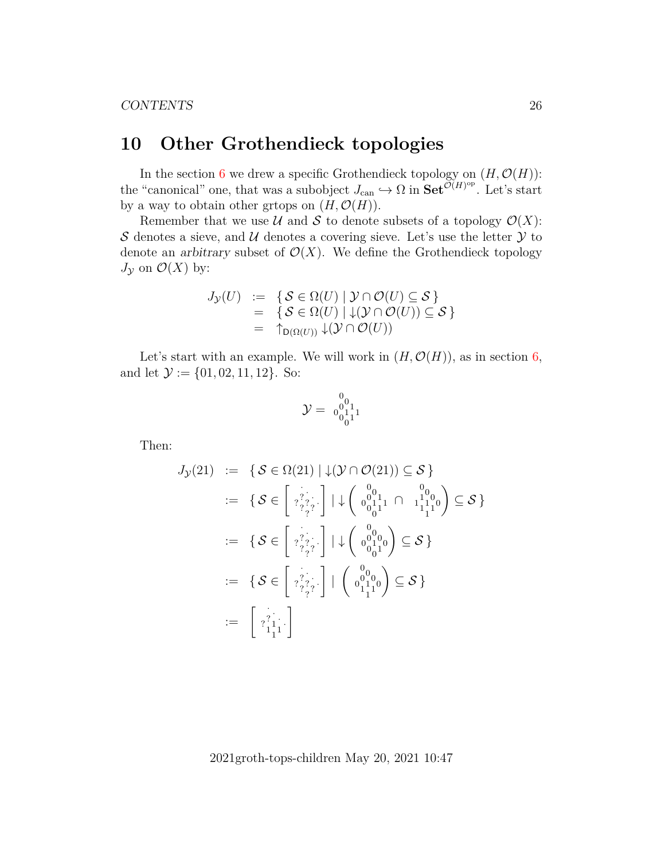## <span id="page-25-0"></span>**10 Other Grothendieck topologies**

In the section [6](#page-11-0) we drew a specific Grothendieck topology on  $(H, \mathcal{O}(H))$ : the "canonical" one, that was a subobject  $J_{\text{can}} \hookrightarrow \Omega$  in  $\text{Set}^{\widetilde{\mathcal{O}}(H)^{\text{op}}}.$  Let's start by a way to obtain other grtops on  $(H, \mathcal{O}(H)).$ 

Remember that we use  $\mathcal U$  and  $\mathcal S$  to denote subsets of a topology  $\mathcal O(X)$ : S denotes a sieve, and U denotes a covering sieve. Let's use the letter  $\mathcal Y$  to denote an arbitrary subset of  $\mathcal{O}(X)$ . We define the Grothendieck topology  $J_{\mathcal{Y}}$  on  $\mathcal{O}(X)$  by:

$$
J_{\mathcal{Y}}(U) := \{ \mathcal{S} \in \Omega(U) \mid \mathcal{Y} \cap \mathcal{O}(U) \subseteq \mathcal{S} \}
$$
  
= 
$$
\{ \mathcal{S} \in \Omega(U) \mid \downarrow (\mathcal{Y} \cap \mathcal{O}(U)) \subseteq \mathcal{S} \}
$$
  
= 
$$
\uparrow_{D(\Omega(U))} \downarrow (\mathcal{Y} \cap \mathcal{O}(U))
$$

Let's start with an example. We will work in  $(H, \mathcal{O}(H))$ , as in section [6,](#page-11-0) and let  $\mathcal{Y} := \{01, 02, 11, 12\}$ . So:

$$
\mathcal{Y} = \begin{smallmatrix} 0 \\ 0 \\ 0 \\ 0 \\ 1 \end{smallmatrix}^0_{11}
$$

Then:

$$
J_{\mathcal{Y}}(21) := \{ \mathcal{S} \in \Omega(21) \mid \downarrow (\mathcal{Y} \cap \mathcal{O}(21)) \subseteq \mathcal{S} \}
$$
  
\n
$$
:= \{ \mathcal{S} \in \left[ \begin{array}{c} \frac{1}{2} \\ \frac{2}{2} \\ \frac{2}{2} \\ \frac{2}{2} \end{array} \right] \mid \downarrow \left( \begin{array}{c} 0 \\ 0 \\ 0 \\ 0 \end{array} \right)_{1}^{0} \cap \left( \begin{array}{c} 0 \\ 0 \\ 1 \\ 1 \end{array} \right) \subseteq \mathcal{S} \}
$$
  
\n
$$
:= \{ \mathcal{S} \in \left[ \begin{array}{c} \frac{1}{2} \\ \frac{2}{2} \\ \frac{2}{2} \\ \frac{2}{2} \end{array} \right] \mid \downarrow \left( \begin{array}{c} 0 \\ 0 \\ 0 \\ 0 \end{array} \right) \subseteq \mathcal{S} \}
$$
  
\n
$$
:= \{ \mathcal{S} \in \left[ \begin{array}{c} \frac{1}{2} \\ \frac{2}{2} \\ \frac{2}{2} \\ \frac{2}{2} \end{array} \right] \mid \left( \begin{array}{c} 0 \\ 0 \\ 0 \\ 1 \end{array} \right) \subseteq \mathcal{S} \}
$$
  
\n
$$
:= \left[ \begin{array}{c} \frac{1}{2} \\ \frac{2}{2} \\ 1 \end{array} \right]
$$
  
\n
$$
:= \left[ \begin{array}{c} \frac{1}{2} \\ \frac{2}{2} \\ 1 \end{array} \right]
$$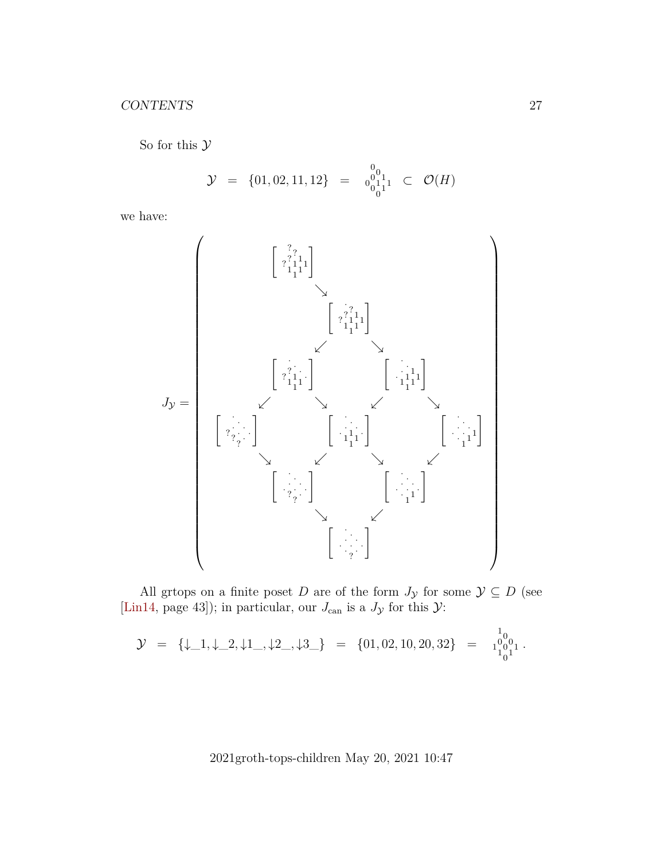So for this  $\mathcal Y$ 

$$
\mathcal{Y} = \{01, 02, 11, 12\} = \begin{bmatrix} 0 \\ 0 \\ 0 \\ 0 \end{bmatrix}^{1}_{1} \subset \mathcal{O}(H)
$$

we have:



All grtops on a finite poset  $D$  are of the form  $J_{\mathcal{Y}}$  for some  $\mathcal{Y} \subseteq D$  (see [\[Lin14,](#page-43-4) page 43]); in particular, our  $J_{\text{can}}$  is a  $J_{\mathcal{Y}}$  for this  $\mathcal{Y}$ :

$$
\mathcal{Y} \;\; = \;\; \{\downarrow\_1, \downarrow\_2, \downarrow 1\_,\downarrow 2\_,\downarrow 3\_ \} \;\; = \;\; \{01, 02, 10, 20, 32\} \;\; = \;\; \begin{smallmatrix} 1 \\ 0 \\ 1 \end{smallmatrix} \begin{smallmatrix} 0 \\ 0 \\ 1 \end{smallmatrix} \cdot \begin{smallmatrix} 1 \\ 0 \\ 1 \end{smallmatrix} \cdot \begin{smallmatrix} 0 \\ 0 \\ 1 \end{smallmatrix} \cdot \begin{smallmatrix} 0 \\ 0 \\ 0 \end{smallmatrix} \cdot \begin{smallmatrix} 0 \\ 0 \\ 1 \end{smallmatrix} \cdot \begin{smallmatrix} 0 \\ 0 \\ 1 \end{smallmatrix} \cdot \begin{smallmatrix} 0 \\ 0 \\ 1 \end{smallmatrix} \cdot \begin{smallmatrix} 0 \\ 0 \\ 1 \end{smallmatrix} \cdot \begin{smallmatrix} 0 \\ 0 \\ 1 \end{smallmatrix} \cdot \begin{smallmatrix} 0 \\ 0 \\ 1 \end{smallmatrix} \cdot \begin{smallmatrix} 0 \\ 0 \\ 1 \end{smallmatrix} \cdot \begin{smallmatrix} 0 \\ 0 \\ 1 \end{smallmatrix} \cdot \begin{smallmatrix} 0 \\ 0 \\ 1 \end{smallmatrix} \cdot \begin{smallmatrix} 0 \\ 0 \\ 1 \end{smallmatrix} \cdot \begin{smallmatrix} 0 \\ 0 \\ 1 \end{smallmatrix} \cdot \begin{smallmatrix} 0 \\ 0 \\ 1 \end{smallmatrix} \cdot \begin{smallmatrix} 0 \\ 0 \\ 1 \end{smallmatrix} \cdot \begin{smallmatrix} 0 \\ 0 \\ 1 \end{smallmatrix} \cdot \begin{smallmatrix} 0 \\ 0 \\ 1 \end{smallmatrix} \cdot \begin{smallmatrix} 0 \\ 0 \\ 1 \end{smallmatrix} \cdot \begin{smallmatrix} 0 \\ 0 \\ 1 \end{smallmatrix} \cdot \begin{smallmatrix} 0 \\ 0 \\ 1 \end{smallmatrix} \cdot \begin{smallmatrix} 0 \\ 0 \\ 1 \end{smallmatrix} \cdot \begin{smallmatrix} 0 \\ 0 \\ 1 \end{smallmatrix} \cdot \begin{smallmatrix} 0 \\ 0 \\ 1 \end{smallmatrix} \cdot \begin{smallmatrix} 0 \\ 0 \\ 1 \end{smallmatrix} \cdot \begin{smallmatrix} 0 \\ 0 \\ 1 \end{smallmatrix} \cdot \begin{smallmatrix} 0 \\ 0 \\ 1 \end{smallmatrix} \cdot \begin{smallmatrix} 0 \\ 0 \\ 1 \end{smallmatrix} \cdot \begin{smallmatrix} 0 \\ 0 \\ 1 \end{smallmatrix}
$$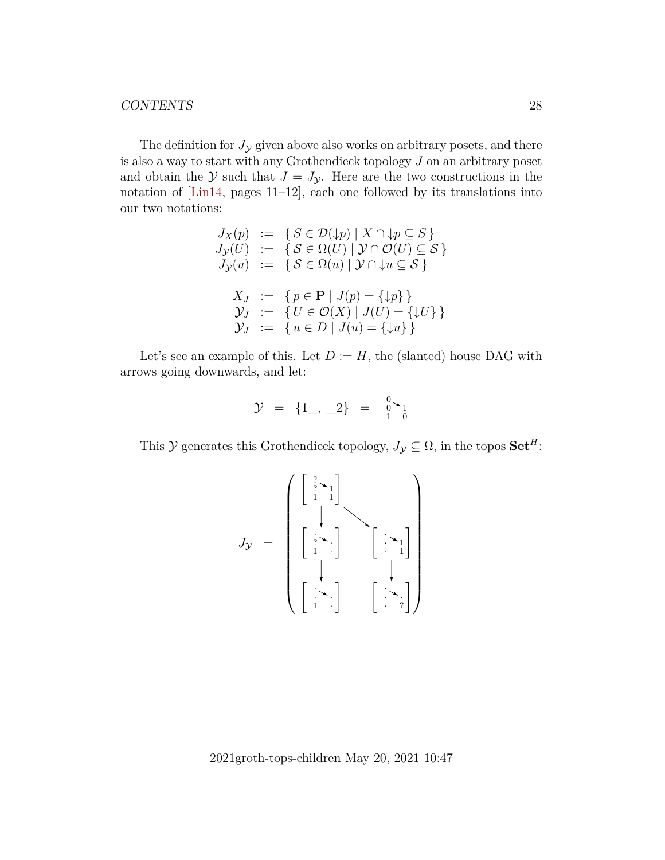The definition for  $J_y$  given above also works on arbitrary posets, and there is also a way to start with any Grothendieck topology J on an arbitrary poset and obtain the Y such that  $J = J_{\mathcal{Y}}$ . Here are the two constructions in the notation of [\[Lin14,](#page-43-4) pages 11–12], each one followed by its translations into our two notations:

$$
J_X(p) := \{ S \in \mathcal{D}(\downarrow p) \mid X \cap \downarrow p \subseteq S \}
$$
  
\n
$$
J_Y(U) := \{ S \in \Omega(U) \mid Y \cap \mathcal{O}(U) \subseteq \mathcal{S} \}
$$
  
\n
$$
J_Y(u) := \{ S \in \Omega(u) \mid Y \cap \downarrow u \subseteq \mathcal{S} \}
$$
  
\n
$$
X_J := \{ p \in \mathbf{P} \mid J(p) = \{\downarrow p\} \}
$$
  
\n
$$
Y_J := \{ U \in \mathcal{O}(X) \mid J(U) = \{\downarrow U\} \}
$$
  
\n
$$
Y_J := \{ u \in D \mid J(u) = \{\downarrow u\} \}
$$

Let's see an example of this. Let  $D := H$ , the (slanted) house DAG with arrows going downwards, and let:

$$
\mathcal{Y} = \{1_-, \_2\} = \begin{bmatrix} 0 \\ 1 \end{bmatrix}
$$

This  $\mathcal Y$  generates this Grothendieck topology,  $J_{\mathcal Y} \subseteq \Omega$ , in the topos  $\mathbf{Set}^H$ :

$$
J_{\mathcal{Y}} = \begin{pmatrix} \begin{bmatrix} \frac{7}{2} \times_{1} \\ 1 & 1 \end{bmatrix} & & \\ \begin{bmatrix} \frac{7}{2} \times_{1} \\ 1 & 1 \end{bmatrix} & & \\ \begin{bmatrix} \frac{7}{2} \times_{1} \\ 1 & 1 \end{bmatrix} & & \\ \begin{bmatrix} \frac{7}{2} \times_{1} \\ 1 & 1 \end{bmatrix} & & \\ \begin{bmatrix} \frac{7}{2} \times_{1} \\ 1 & 1 \end{bmatrix} & & \\ \begin{bmatrix} \frac{7}{2} \times_{1} \\ 1 & 1 \end{bmatrix} & & \\ \begin{bmatrix} \frac{7}{2} \times_{1} \\ 1 & 1 \end{bmatrix} & & \\ \begin{bmatrix} \frac{7}{2} \times_{1} \\ 1 & 1 \end{bmatrix} & & \\ \begin{bmatrix} \frac{7}{2} \times_{1} \\ 1 & 1 \end{bmatrix} & & \\ \begin{bmatrix} \frac{7}{2} \times_{1} \\ 1 & 1 \end{bmatrix} & & \\ \begin{bmatrix} \frac{7}{2} \times_{1} \\ 1 & 1 \end{bmatrix} & & \\ \begin{bmatrix} \frac{7}{2} \times_{1} \\ 1 & 1 \end{bmatrix} & & \\ \begin{bmatrix} \frac{7}{2} \times_{1} \\ 1 & 1 \end{bmatrix} & & \\ \begin{bmatrix} \frac{7}{2} \times_{1} \\ 1 & 1 \end{bmatrix} & & \\ \begin{bmatrix} \frac{7}{2} \times_{1} \\ 1 & 1 \end{bmatrix} & & \\ \begin{bmatrix} \frac{7}{2} \times_{1} \\ 1 & 1 \end{bmatrix} & & \\ \begin{bmatrix} \frac{7}{2} \times_{1} \\ 1 & 1 \end{bmatrix} & & \\ \begin{bmatrix} \frac{7}{2} \times_{1} \\ 1 & 1 \end{bmatrix} & & \\ \begin{bmatrix} \frac{7}{2} \times_{1} \\ 1 & 1 \end{bmatrix} & & \\ \begin{bmatrix} \frac{7}{2} \times_{1} \\ 1 & 1 \end{bmatrix} & & \\ \begin{bmatrix} \frac{7}{2} \times_{1} \\ 1 & 1 \end{bmatrix} & & \\ \begin{bmatrix} \frac{7}{2} \times_{1} \\ 1 & 1 \end{bmatrix} & & \\ \begin{bmatrix} \frac{7}{2} \times_{1}
$$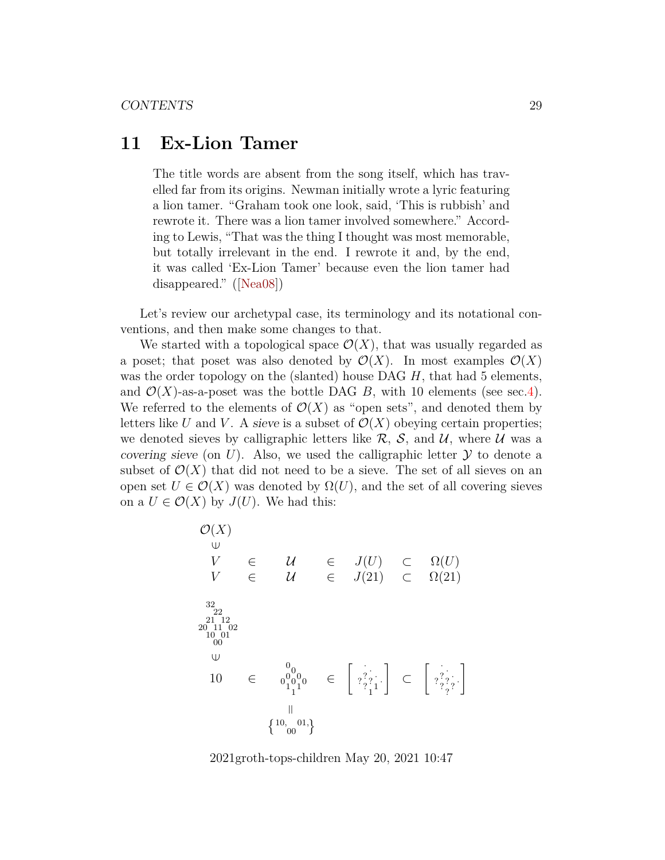## <span id="page-28-0"></span>**11 Ex-Lion Tamer**

The title words are absent from the song itself, which has travelled far from its origins. Newman initially wrote a lyric featuring a lion tamer. "Graham took one look, said, 'This is rubbish' and rewrote it. There was a lion tamer involved somewhere." According to Lewis, "That was the thing I thought was most memorable, but totally irrelevant in the end. I rewrote it and, by the end, it was called 'Ex-Lion Tamer' because even the lion tamer had disappeared."([\[Nea08\]](#page-43-9))

Let's review our archetypal case, its terminology and its notational conventions, and then make some changes to that.

We started with a topological space  $\mathcal{O}(X)$ , that was usually regarded as a poset; that poset was also denoted by  $\mathcal{O}(X)$ . In most examples  $\mathcal{O}(X)$ was the order topology on the (slanted) house DAG  $H$ , that had 5 elements, and  $\mathcal{O}(X)$ -as-a-poset was the bottle DAG B, with 10 elements (see sec[.4\)](#page-7-0). We referred to the elements of  $\mathcal{O}(X)$  as "open sets", and denoted them by letters like U and V. A sieve is a subset of  $\mathcal{O}(X)$  obeying certain properties; we denoted sieves by calligraphic letters like  $\mathcal{R}$ ,  $\mathcal{S}$ , and  $\mathcal{U}$ , where  $\mathcal{U}$  was a covering sieve (on U). Also, we used the calligraphic letter  $\mathcal Y$  to denote a subset of  $\mathcal{O}(X)$  that did not need to be a sieve. The set of all sieves on an open set  $U \in \mathcal{O}(X)$  was denoted by  $\Omega(U)$ , and the set of all covering sieves on a  $U \in \mathcal{O}(X)$  by  $J(U)$ . We had this:

$$
\begin{array}{ccl}\n\mathcal{O}(X) & \cup & \\
\cup & \cup & \\
V & \in & \mathcal{U} & \\
V & \in & \mathcal{U} & \\
\end{array} \quad \begin{array}{ccl}\n\mathcal{O}(X) & \cup & \mathcal{O}(U) \\
\mathcal{O}(X) & \cup & \mathcal{O}(U) \\
\mathcal{O}(X) & \cup & \mathcal{O}(21) \\
\end{array}
$$
\n
$$
\begin{array}{ccl}\n\frac{32}{22} & \frac{21}{112} & \frac{21}{112} \\
\frac{20}{11} & \frac{11}{10} & \\
0 & 0 & \\
0 & 0 & \\
0 & 0 & \\
0 & 0 & \\
0 & 0 & \\
0 & 0 & \\
0 & 0 & \\
0 & 0 & \\
0 & 0 & \\
0 & 0 & \\
0 & 0 & \\
0 & 0 & \\
0 & 0 & \\
0 & 0 & \\
0 & 0 & \\
0 & 0 & \\
0 & 0 & \\
0 & 0 & \\
0 & 0 & \\
0 & 0 & \\
0 & 0 & \\
0 & 0 & \\
0 & 0 & \\
0 & 0 & \\
0 & 0 & \\
0 & 0 & \\
0 & 0 & \\
0 & 0 & \\
0 & 0 & \\
0 & 0 & \\
0 & 0 & \\
0 & 0 & \\
0 & 0 & \\
0 & 0 & \\
0 & 0 & \\
0 & 0 & \\
0 & 0 & \\
0 & 0 & \\
0 & 0 & \\
0 & 0 & \\
0 & 0 & \\
0 & 0 & \\
0 & 0 & \\
0 & 0 & \\
0 & 0 & \\
0 & 0 & \\
0 & 0 & \\
0 & 0 & \\
0 & 0 & \\
0 & 0 & \\
0 & 0 & \\
0 & 0 & \\
0 & 0 & \\
0 & 0 & \\
0 & 0 & \\
0 & 0 & \\
0 & 0 & \\
0 & 0 & \\
0 & 0 & \\
0 & 0 & \\
0 & 0 & \\
0 & 0 & \\
0 & 0 & \\
0 & 0 & \\
0 & 0 & \\
0 & 0 & \\
0 & 0 & \\
0 & 0 & \\
0 & 0 & \\
0 & 0 & \\
0 & 0 & \\
0 & 0 & \\
0 & 0 & \\
0 & 0 & \\
0 & 0 & \\
0 & 0 & \\
0 & 0 & \\
0 & 0 & \\
0 & 0 & \\
0 & 0 & 0 \\
0 & 0 & 0 & \\
0 & 0 & 0 & \\
0 & 0 & 0 & \\
0 & 0 & 0 & \\
0 & 0 & 0 & \\
0 & 0 & 0 & \\
0 & 0 & 0 & \\
0 & 0 &
$$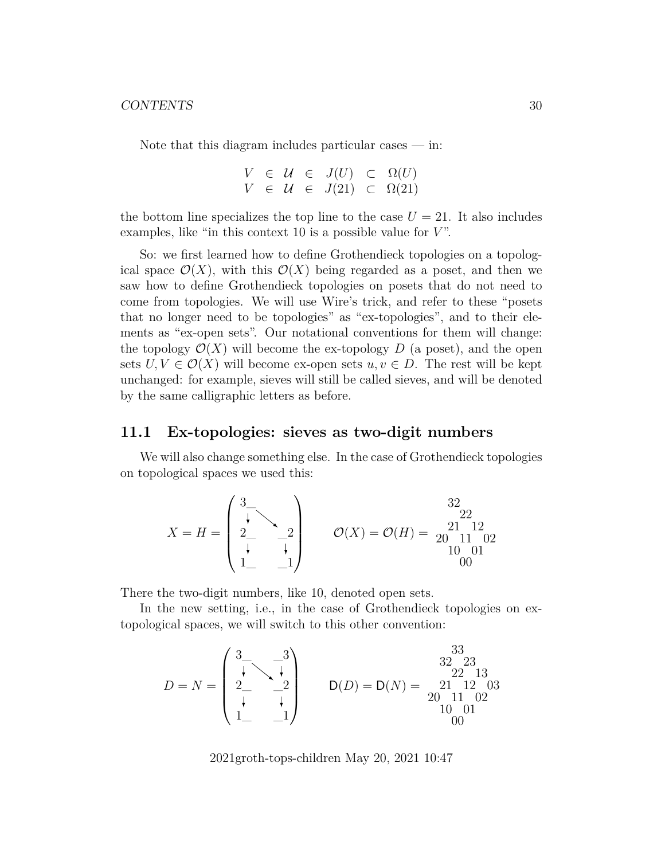Note that this diagram includes particular cases  $-$  in:

$$
V \in \mathcal{U} \in J(U) \subset \Omega(U)
$$
  

$$
V \in \mathcal{U} \in J(21) \subset \Omega(21)
$$

the bottom line specializes the top line to the case  $U = 21$ . It also includes examples, like "in this context 10 is a possible value for  $V$ ".

So: we first learned how to define Grothendieck topologies on a topological space  $\mathcal{O}(X)$ , with this  $\mathcal{O}(X)$  being regarded as a poset, and then we saw how to define Grothendieck topologies on posets that do not need to come from topologies. We will use Wire's trick, and refer to these "posets that no longer need to be topologies" as "ex-topologies", and to their elements as "ex-open sets". Our notational conventions for them will change: the topology  $\mathcal{O}(X)$  will become the ex-topology D (a poset), and the open sets  $U, V \in \mathcal{O}(X)$  will become ex-open sets  $u, v \in D$ . The rest will be kept unchanged: for example, sieves will still be called sieves, and will be denoted by the same calligraphic letters as before.

### <span id="page-29-0"></span>**11.1 Ex-topologies: sieves as two-digit numbers**

We will also change something else. In the case of Grothendieck topologies on topological spaces we used this:

$$
X = H = \begin{pmatrix} 3 & 32 & 22 & 22 \\ 2 & -2 & 2 & 21 & 12 \\ 1 & 1 & 1 & 02 & 0 \\ 1 & -1 & 0 & 01 & 0 \end{pmatrix}
$$

There the two-digit numbers, like 10, denoted open sets.

In the new setting, i.e., in the case of Grothendieck topologies on extopological spaces, we will switch to this other convention:

$$
D = N = \begin{pmatrix} 3 & -3 \\ \downarrow & \downarrow \\ 2 & -2 \\ \downarrow & \downarrow \\ 1 & -1 \end{pmatrix} \qquad D(D) = D(N) = \begin{pmatrix} 33 & 32 & 23 \\ 22 & 13 & 22 & 13 \\ 20 & 11 & 02 & 20 \\ 10 & 01 & 00 & 01 \end{pmatrix}
$$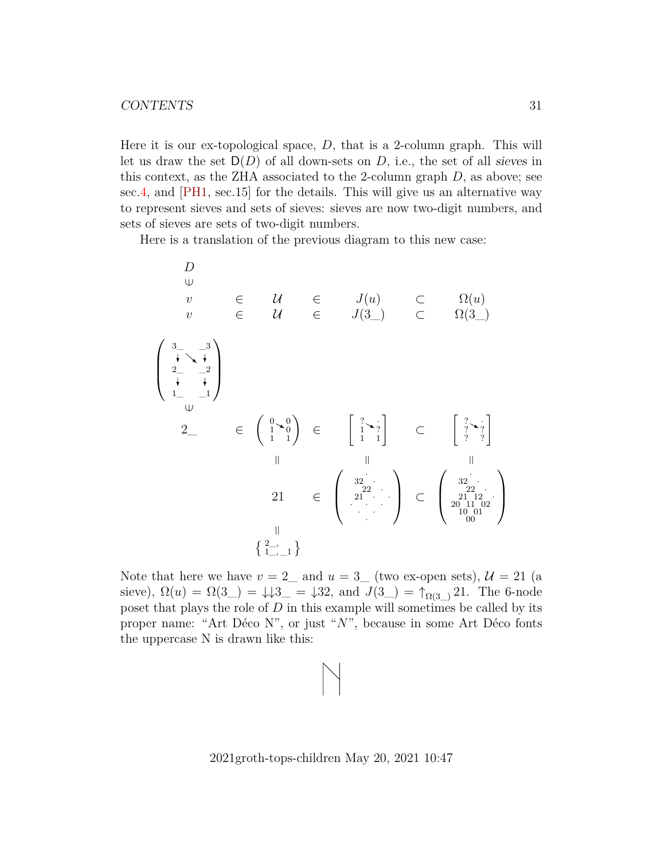Here it is our ex-topological space,  $D$ , that is a 2-column graph. This will let us draw the set  $D(D)$  of all down-sets on D, i.e., the set of all sieves in this context, as the ZHA associated to the 2-column graph  $D$ , as above; see sec[.4,](#page-7-0) and [\[PH1,](#page-43-0) sec.15] for the details. This will give us an alternative way to represent sieves and sets of sieves: sieves are now two-digit numbers, and sets of sieves are sets of two-digit numbers.

Here is a translation of the previous diagram to this new case:

D ∈v ∈ U ∈ J(u) ⊂ Ω(u) v ∈ U ∈ J(3\_) ⊂ Ω(3\_) 1\_ 2\_ 3\_ \_1 \_2 \_3 ∈2\_ ∈ 1 1 0 1 0 0 ∈ 1 1 ? 1 ? · ⊂ ? ? ? ? ? · ===21 ∈ · 32 · 22 · 21 · · · · · · · · ⊂ · 32 · 22 · 21 12 · 20 11 02 10 01 00 = <sup>2</sup>\_, 1\_, \_1 

Note that here we have  $v = 2$  and  $u = 3$  (two ex-open sets),  $\mathcal{U} = 21$  (a sieve),  $\Omega(u) = \Omega(3) = 1/3 = 32$ , and  $J(3) = \uparrow_{\Omega(3)} 21$ . The 6-node poset that plays the role of  $D$  in this example will sometimes be called by its proper name: "Art Déco N", or just "N", because in some Art Déco fonts the uppercase N is drawn like this: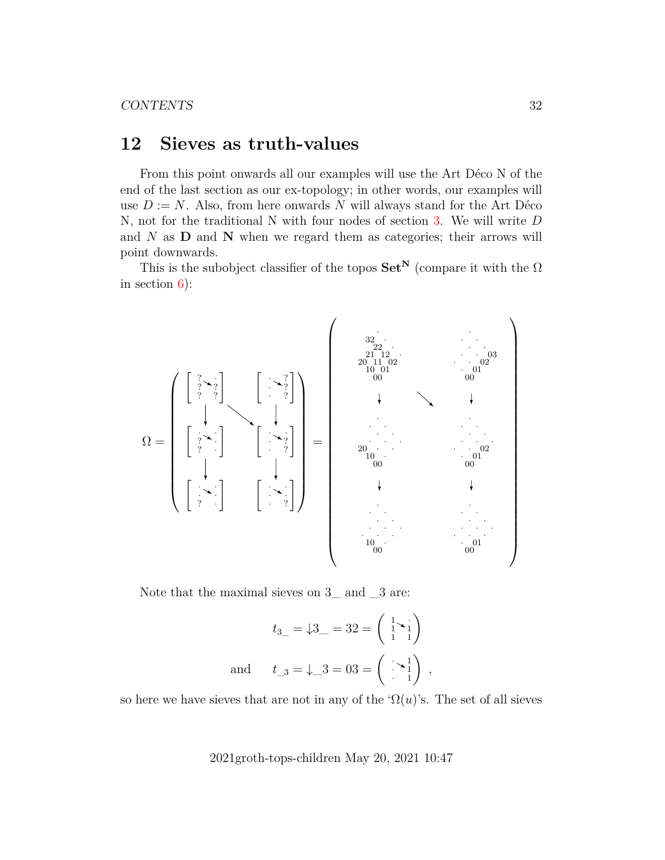## <span id="page-31-0"></span>**12 Sieves as truth-values**

From this point onwards all our examples will use the Art Déco N of the end of the last section as our ex-topology; in other words, our examples will use  $D := N$ . Also, from here onwards N will always stand for the Art Déco N, not for the traditional N with four nodes of section [3.](#page-6-0) We will write D and  $N$  as  $D$  and  $N$  when we regard them as categories; their arrows will point downwards.

This is the subobject classifier of the topos  $\mathbf{Set}^{\mathbf{N}}$  (compare it with the  $\Omega$ in section [6\)](#page-11-0):



Note that the maximal sieves on  $3$ <sub>nd</sub> and  $3$  are:

$$
t_{3\_\_} = \downarrow 3\_\_ = 32 = \begin{pmatrix} 1 & 1 \\ 1 & 1 \end{pmatrix}
$$
\nand

\n
$$
t_{3\_\_} = \downarrow 3 = 03 = \begin{pmatrix} 1 & 1 \\ 1 & 1 \end{pmatrix},
$$

so here we have sieves that are not in any of the ' $\Omega(u)$ 's. The set of all sieves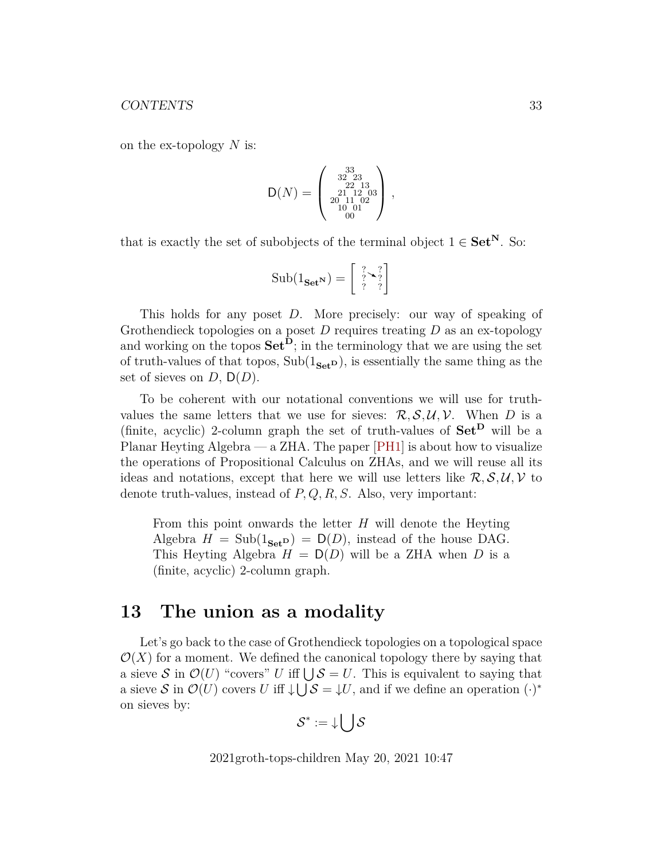on the ex-topology  $N$  is:

$$
\mathsf{D}(N) = \left(\begin{smallmatrix} 33 \\ 32 & 23 \\ 22 & 13 \\ 20 & 11 & 02 \\ 20 & 11 & 02 \\ 10 & 01 & 0 \end{smallmatrix}\right),
$$

that is exactly the set of subobjects of the terminal object  $1 \in \mathbf{Set}^{\mathbf{N}}$ . So:

$$
Sub(1_{\mathbf{Set}^{\mathbf{N}}}) = \begin{bmatrix} \frac{?}{?} \searrow \frac{?}{?} \\ \frac{?}{?} \end{bmatrix}
$$

This holds for any poset D. More precisely: our way of speaking of Grothendieck topologies on a poset  $D$  requires treating  $D$  as an ex-topology and working on the topos  $\mathbf{Set}^{\mathbf{D}}$ ; in the terminology that we are using the set of truth-values of that topos,  $Sub(1_{Set}D)$ , is essentially the same thing as the set of sieves on  $D, D(D)$ .

To be coherent with our notational conventions we will use for truthvalues the same letters that we use for sieves:  $\mathcal{R}, \mathcal{S}, \mathcal{U}, \mathcal{V}$ . When D is a (finite, acyclic) 2-column graph the set of truth-values of  $\mathbf{Set}^{\mathbf{D}}$  will be a Planar Heyting Algebra — a ZHA. The paper [\[PH1\]](#page-43-0) is about how to visualize the operations of Propositional Calculus on ZHAs, and we will reuse all its ideas and notations, except that here we will use letters like  $\mathcal{R}, \mathcal{S}, \mathcal{U}, \mathcal{V}$  to denote truth-values, instead of  $P, Q, R, S$ . Also, very important:

From this point onwards the letter H will denote the Heyting Algebra  $H = Sub(1_{Set}D) = D(D)$ , instead of the house DAG. This Heyting Algebra  $H = D(D)$  will be a ZHA when D is a (finite, acyclic) 2-column graph.

## <span id="page-32-0"></span>**13 The union as a modality**

Let's go back to the case of Grothendieck topologies on a topological space  $\mathcal{O}(X)$  for a moment. We defined the canonical topology there by saying that a sieve S in  $\mathcal{O}(U)$  "covers" U iff  $\bigcup \mathcal{S} = U$ . This is equivalent to saying that a sieve S in  $\mathcal{O}(U)$  covers U iff  $\downarrow \bigcup \mathcal{S} = \downarrow U$ , and if we define an operation  $(\cdot)^*$ on sieves by:

$$
\mathcal{S}^* := \mathop{\downarrow} \bigl( \;\;\bigr] \mathcal{S}
$$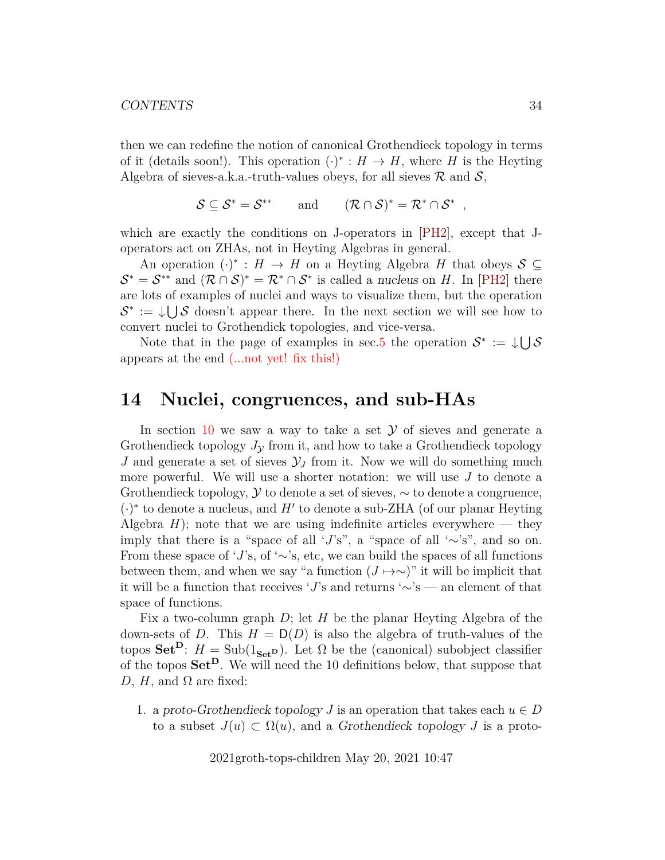then we can redefine the notion of canonical Grothendieck topology in terms of it (details soon!). This operation  $(\cdot)^* : H \to H$ , where H is the Heyting Algebra of sieves-a.k.a.-truth-values obeys, for all sieves  $\mathcal R$  and  $\mathcal S$ ,

$$
\mathcal{S} \subseteq \mathcal{S}^* = \mathcal{S}^{**} \quad \text{and} \quad (\mathcal{R} \cap \mathcal{S})^* = \mathcal{R}^* \cap \mathcal{S}^* ,
$$

which are exactly the conditions on J-operators in [\[PH2\]](#page-44-0), except that Joperators act on ZHAs, not in Heyting Algebras in general.

An operation  $(\cdot)^* : H \to H$  on a Heyting Algebra H that obeys  $S \subseteq$  $\mathcal{S}^* = \mathcal{S}^{**}$  and  $(\mathcal{R} \cap \mathcal{S})^* = \mathcal{R}^* \cap \mathcal{S}^*$  is called a nucleus on H. In [\[PH2\]](#page-44-0) there are lots of examples of nuclei and ways to visualize them, but the operation  $\mathcal{S}^* := \cup \cup \mathcal{S}$  doesn't appear there. In the next section we will see how to convert nuclei to Grothendick topologies, and vice-versa.

Note that in the page of examples in sec[.5](#page-9-0) the operation  $\mathcal{S}^* := \cup \cup \mathcal{S}$ appears at the end (...not yet! fix this!)

## <span id="page-33-0"></span>**14 Nuclei, congruences, and sub-HAs**

In section [10](#page-25-0) we saw a way to take a set  $\mathcal Y$  of sieves and generate a Grothendieck topology  $J<sub>y</sub>$  from it, and how to take a Grothendieck topology J and generate a set of sieves  $\mathcal{Y}_J$  from it. Now we will do something much more powerful. We will use a shorter notation: we will use  $J$  to denote a Grothendieck topology,  $\mathcal Y$  to denote a set of sieves,  $\sim$  to denote a congruence,  $(\cdot)^*$  to denote a nucleus, and H' to denote a sub-ZHA (of our planar Heyting Algebra  $H$ ); note that we are using indefinite articles everywhere — they imply that there is a "space of all 'J's", a "space of all ' $\sim$ 's", and so on. From these space of 'J's, of ' $\sim$ 's, etc, we can build the spaces of all functions between them, and when we say "a function  $(J \mapsto \sim)$ " it will be implicit that it will be a function that receives 'J's and returns '∼'s — an element of that space of functions.

Fix a two-column graph  $D$ ; let H be the planar Heyting Algebra of the down-sets of D. This  $H = D(D)$  is also the algebra of truth-values of the topos Set<sup>D</sup>:  $H = Sub(1_{Set}^D)$ . Let  $\Omega$  be the (canonical) subobject classifier of the topos Set<sup>D</sup>. We will need the 10 definitions below, that suppose that D, H, and  $\Omega$  are fixed:

1. a proto-Grothendieck topology J is an operation that takes each  $u \in D$ to a subset  $J(u) \subset \Omega(u)$ , and a Grothendieck topology J is a proto-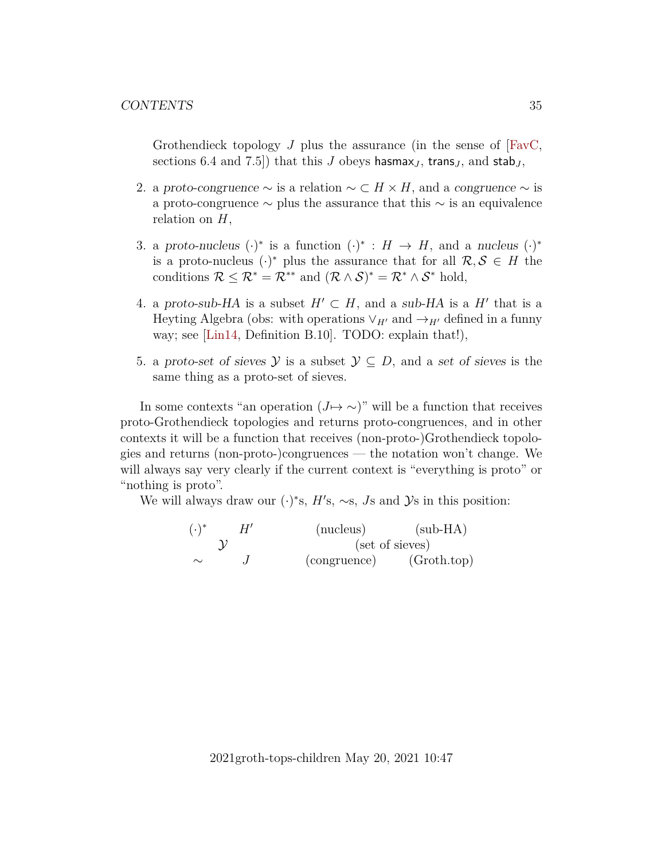Grothendieck topology J plus the assurance (in the sense of  $[{\rm FavC}]$ , sections 6.4 and 7.5]) that this J obeys hasmax<sub>J</sub>, trans<sub>J</sub>, and stab<sub>J</sub>,

- 2. a proto-congruence  $\sim$  is a relation  $\sim \subset H \times H$ , and a congruence  $\sim$  is a proto-congruence  $\sim$  plus the assurance that this  $\sim$  is an equivalence relation on  $H$ ,
- 3. a proto-nucleus  $(\cdot)^*$  is a function  $(\cdot)^*$  :  $H \to H$ , and a nucleus  $(\cdot)^*$ is a proto-nucleus  $(\cdot)^*$  plus the assurance that for all  $\mathcal{R}, \mathcal{S} \in H$  the conditions  $\mathcal{R} \leq \mathcal{R}^* = \mathcal{R}^{**}$  and  $(\mathcal{R} \wedge \mathcal{S})^* = \mathcal{R}^* \wedge \mathcal{S}^*$  hold,
- 4. a proto-sub-HA is a subset  $H' \subset H$ , and a sub-HA is a H' that is a Heyting Algebra (obs: with operations  $\vee_{H'}$  and  $\rightarrow_{H'}$  defined in a funny way; see [\[Lin14,](#page-43-4) Definition B.10]. TODO: explain that!),
- 5. a proto-set of sieves  $\mathcal{Y}$  is a subset  $\mathcal{Y} \subseteq D$ , and a set of sieves is the same thing as a proto-set of sieves.

In some contexts "an operation  $(J \mapsto \sim)$ " will be a function that receives proto-Grothendieck topologies and returns proto-congruences, and in other contexts it will be a function that receives (non-proto-)Grothendieck topologies and returns (non-proto-)congruences — the notation won't change. We will always say very clearly if the current context is "everything is proto" or "nothing is proto".

We will always draw our  $(·)$ <sup>\*</sup>s,  $H$ 's, ~s, Js and  $\mathcal{Y}$ s in this position:

$$
(\cdot)^{*} \quad H' \quad \text{(nucleus)} \quad \text{(sub-HA)}\sim \quad J \quad \text{(congruence)} \quad \text{(Groth.top)}
$$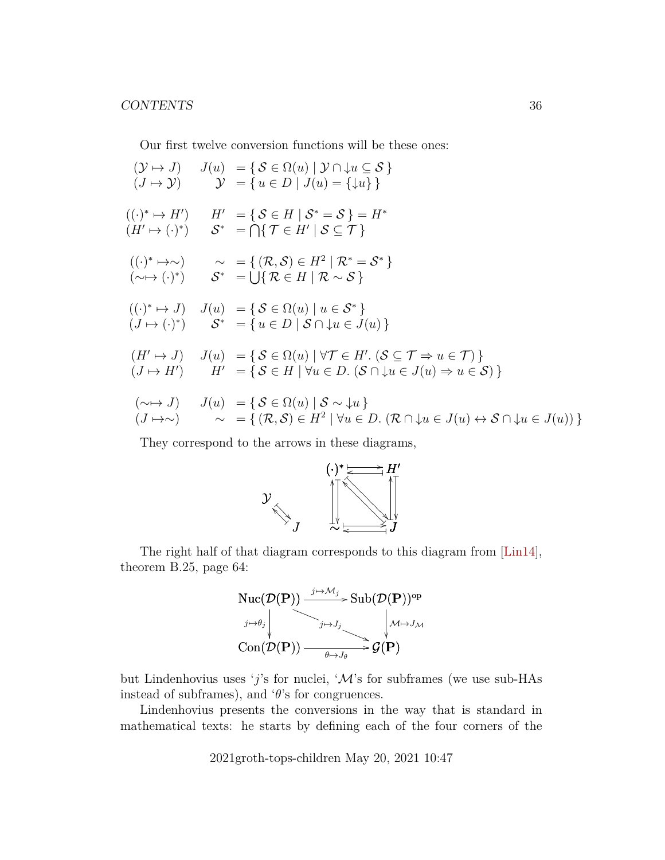Our first twelve conversion functions will be these ones:

$$
(\mathcal{Y} \mapsto J) \quad J(u) = \{ \mathcal{S} \in \Omega(u) \mid \mathcal{Y} \cap \downarrow u \subseteq \mathcal{S} \}
$$
  
\n
$$
(J \mapsto \mathcal{Y}) \quad \mathcal{Y} = \{ u \in D \mid J(u) = \{ \downarrow u \} \}
$$
  
\n
$$
((\cdot)^* \mapsto H') \quad H' = \{ \mathcal{S} \in H \mid \mathcal{S}^* = \mathcal{S} \} = H^*
$$
  
\n
$$
(H' \mapsto (\cdot)^*) \quad \mathcal{S}^* = \bigcap \{ \mathcal{T} \in H' \mid \mathcal{S} \subseteq \mathcal{T} \}
$$
  
\n
$$
((\cdot)^* \mapsto \sim) \quad \sim = \{ (\mathcal{R}, \mathcal{S}) \in H^2 \mid \mathcal{R}^* = \mathcal{S}^* \}
$$
  
\n
$$
(\sim \mapsto (\cdot)^*) \quad \mathcal{S}^* = \bigcup \{ \mathcal{R} \in H \mid \mathcal{R} \sim \mathcal{S} \}
$$
  
\n
$$
((\cdot)^* \mapsto J) \quad J(u) = \{ \mathcal{S} \in \Omega(u) \mid u \in \mathcal{S}^* \}
$$
  
\n
$$
(J \mapsto (\cdot)^*) \quad \mathcal{S}^* = \{ u \in D \mid \mathcal{S} \cap \downarrow u \in J(u) \}
$$
  
\n
$$
(H' \mapsto J) \quad J(u) = \{ \mathcal{S} \in \Omega(u) \mid \forall \mathcal{T} \in H'. \ (\mathcal{S} \subseteq \mathcal{T} \Rightarrow u \in \mathcal{T}) \}
$$
  
\n
$$
(J \mapsto H') \quad H' = \{ \mathcal{S} \in H \mid \forall u \in D. \ (\mathcal{S} \cap \downarrow u \in J(u) \Rightarrow u \in \mathcal{S}) \}
$$
  
\n
$$
(\sim \mapsto J) \quad J(u) = \{ \mathcal{S} \in \Omega(u) \mid \mathcal{S} \sim \downarrow u \}
$$
  
\n
$$
(J \mapsto \sim) \quad \sim = \{ (\mathcal{R}, \mathcal{S}) \in H^2 \mid \forall u \in D. \ (\mathcal{R} \cap \downarrow u \in J(u) \leftrightarrow \mathcal{S} \cap \downarrow u
$$

They correspond to the arrows in these diagrams,



The right half of that diagram corresponds to this diagram from [\[Lin14\]](#page-43-4), theorem B.25, page 64:



but Lindenhovius uses 'j's for nuclei, ' $\mathcal{M}$ 's for subframes (we use sub-HAs instead of subframes), and  $\theta$ 's for congruences.

Lindenhovius presents the conversions in the way that is standard in mathematical texts: he starts by defining each of the four corners of the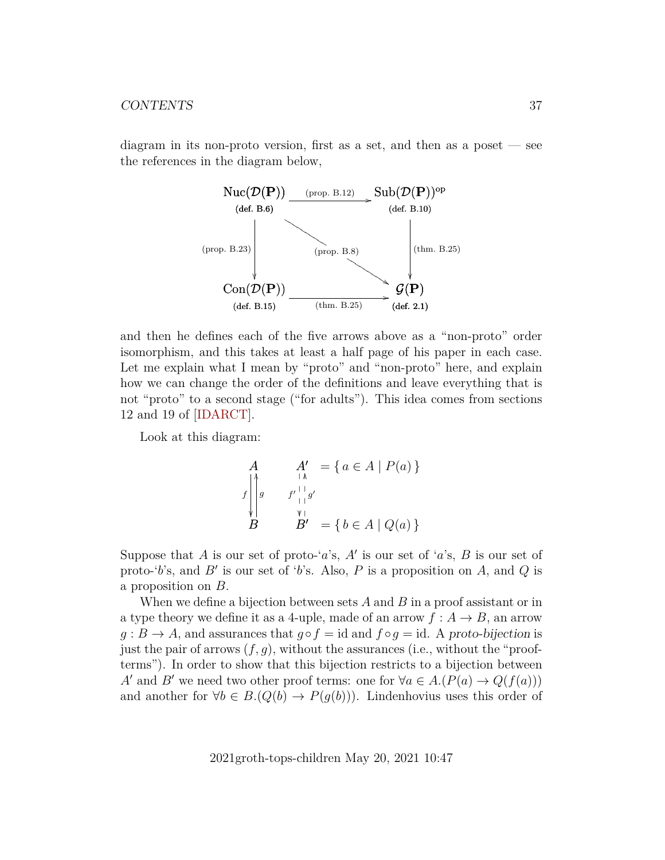diagram in its non-proto version, first as a set, and then as a poset — see the references in the diagram below,



and then he defines each of the five arrows above as a "non-proto" order isomorphism, and this takes at least a half page of his paper in each case. Let me explain what I mean by "proto" and "non-proto" here, and explain how we can change the order of the definitions and leave everything that is not "proto" to a second stage ("for adults"). This idea comes from sections 12 and 19 of [\[IDARCT\]](#page-43-5).

Look at this diagram:

$$
A \qquad A' = \{ a \in A \mid P(a) \}
$$
  

$$
f \Big|_{y}^{q} = f' \Big|_{y}^{q} = \{ b \in A \mid Q(a) \}
$$
  

$$
B \qquad B' = \{ b \in A \mid Q(a) \}
$$

Suppose that A is our set of proto-'a's, A' is our set of 'a's, B is our set of proto-'b's, and B' is our set of 'b's. Also, P is a proposition on A, and Q is a proposition on B.

When we define a bijection between sets  $A$  and  $B$  in a proof assistant or in a type theory we define it as a 4-uple, made of an arrow  $f: A \rightarrow B$ , an arrow  $g : B \to A$ , and assurances that  $g \circ f = id$  and  $f \circ g = id$ . A proto-bijection is just the pair of arrows  $(f, g)$ , without the assurances (i.e., without the "proofterms"). In order to show that this bijection restricts to a bijection between A' and B' we need two other proof terms: one for  $\forall a \in A.(P(a) \rightarrow Q(f(a)))$ and another for  $\forall b \in B.(Q(b) \rightarrow P(g(b)))$ . Lindenhovius uses this order of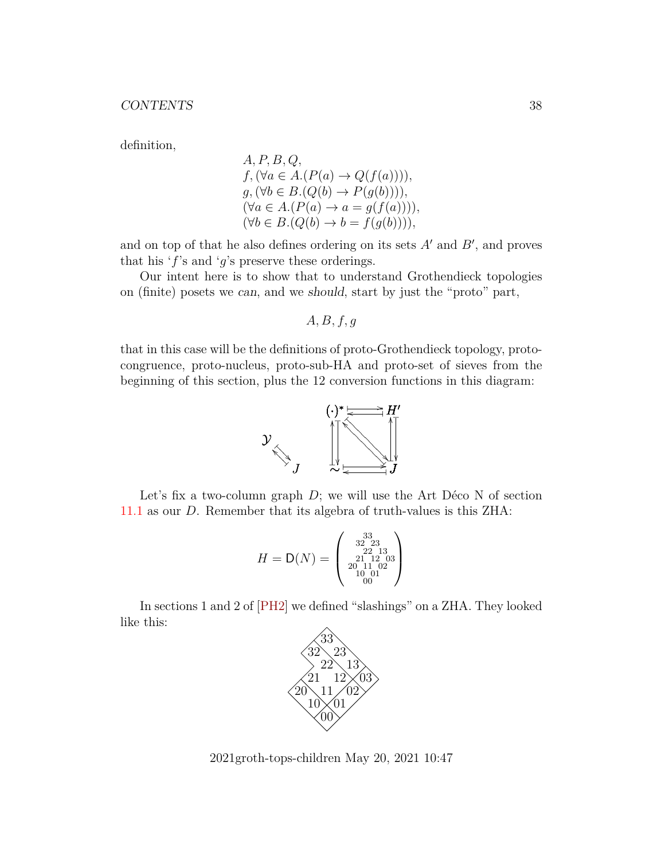definition,

A, P, B, Q,  
\nf, (
$$
\forall a \in A.(P(a) \rightarrow Q(f(a))))
$$
,  
\ng, ( $\forall b \in B.(Q(b) \rightarrow P(g(b))))$ ,  
\n( $\forall a \in A.(P(a) \rightarrow a = g(f(a))))$ ,  
\n( $\forall b \in B.(Q(b) \rightarrow b = f(g(b))))$ ,

and on top of that he also defines ordering on its sets  $A'$  and  $B'$ , and proves that his 'f's and 'g's preserve these orderings.

Our intent here is to show that to understand Grothendieck topologies on (finite) posets we can, and we should, start by just the "proto" part,

 $A, B, f, g$ 

that in this case will be the definitions of proto-Grothendieck topology, protocongruence, proto-nucleus, proto-sub-HA and proto-set of sieves from the beginning of this section, plus the 12 conversion functions in this diagram:



Let's fix a two-column graph  $D$ ; we will use the Art Déco N of section [11.1](#page-29-0) as our D. Remember that its algebra of truth-values is this ZHA:

$$
H = \mathsf{D}(N) = \left(\begin{smallmatrix} 33 \\ 32 & 23 \\ 22 & 13 \\ 21 & 12 & 03 \\ 20 & 11 & 02 \\ 10 & 01 \\ 00 \end{smallmatrix}\right)
$$

In sections 1 and 2 of [\[PH2\]](#page-44-0) we defined "slashings" on a ZHA. They looked like this:



2021groth-tops-children May 20, 2021 10:47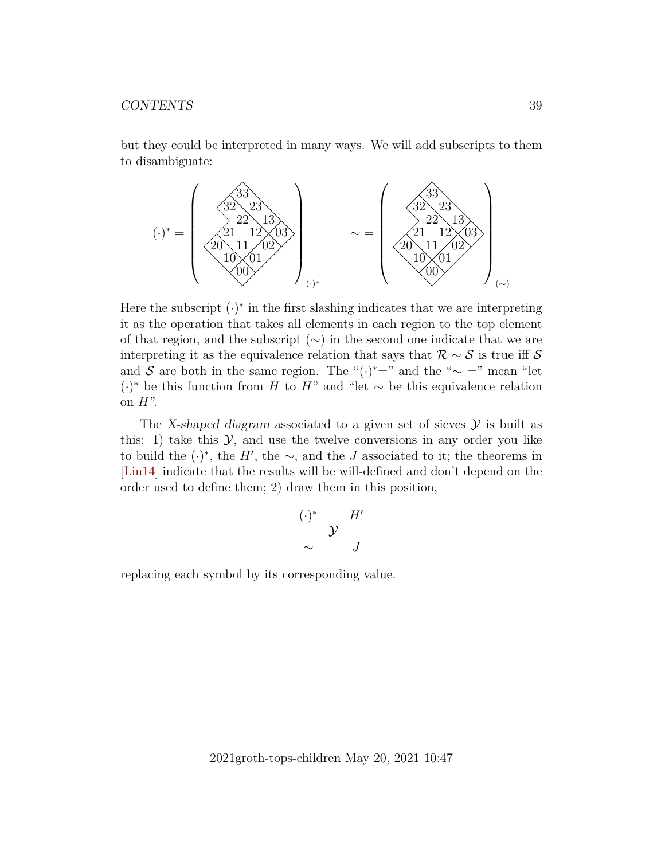but they could be interpreted in many ways. We will add subscripts to them to disambiguate:



Here the subscript  $(\cdot)^*$  in the first slashing indicates that we are interpreting it as the operation that takes all elements in each region to the top element of that region, and the subscript (∼) in the second one indicate that we are interpreting it as the equivalence relation that says that  $\mathcal{R} \sim \mathcal{S}$  is true iff S and S are both in the same region. The " $(\cdot)^* =$ " and the "∼ =" mean "let  $(·)$ <sup>\*</sup> be this function from H to H<sup>"</sup> and "let ∼ be this equivalence relation on  $H$ ".

The X-shaped diagram associated to a given set of sieves  $\mathcal Y$  is built as this: 1) take this  $\mathcal{Y}$ , and use the twelve conversions in any order you like to build the  $(·)$ <sup>\*</sup>, the H', the  $\sim$ , and the J associated to it; the theorems in [\[Lin14\]](#page-43-4) indicate that the results will be will-defined and don't depend on the order used to define them; 2) draw them in this position,

$$
\begin{array}{cc}\n(\cdot)^* & H' \\
\sim & \mathcal{Y} \\
\sim & J\n\end{array}
$$

replacing each symbol by its corresponding value.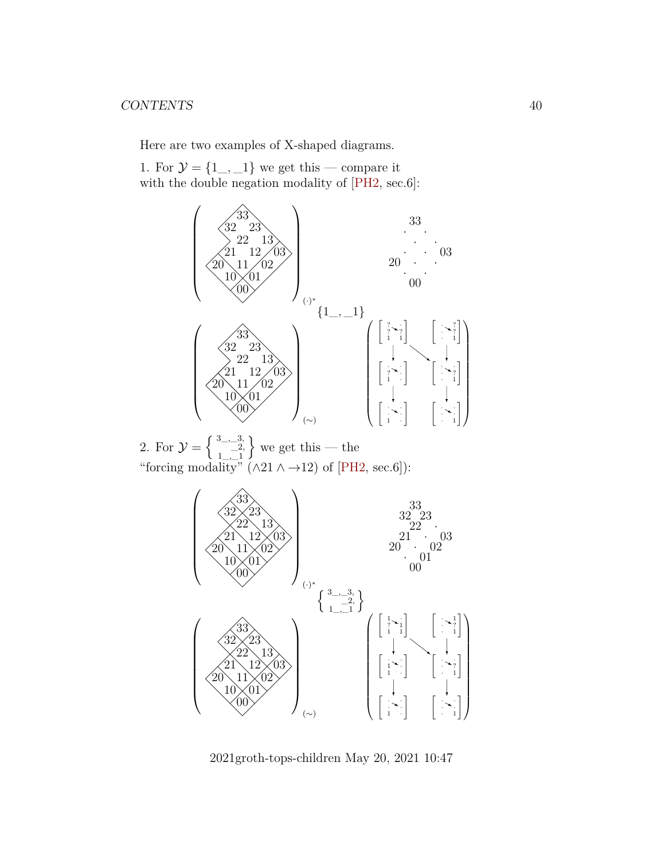Here are two examples of X-shaped diagrams.

1. For  $\mathcal{Y} = \{1, \ldots, 1\}$  we get this — compare it with the double negation modality of [\[PH2,](#page-44-0) sec.6]:



2. For  $\mathcal{Y} = \begin{cases} 3 & -3, \\ -2, \end{cases}$  $1 \_ -1$  $\}$  we get this — the "forcing modality"  $(\wedge 21 \wedge \rightarrow 12)$  of [\[PH2,](#page-44-0) sec.6]):



2021groth-tops-children May 20, 2021 10:47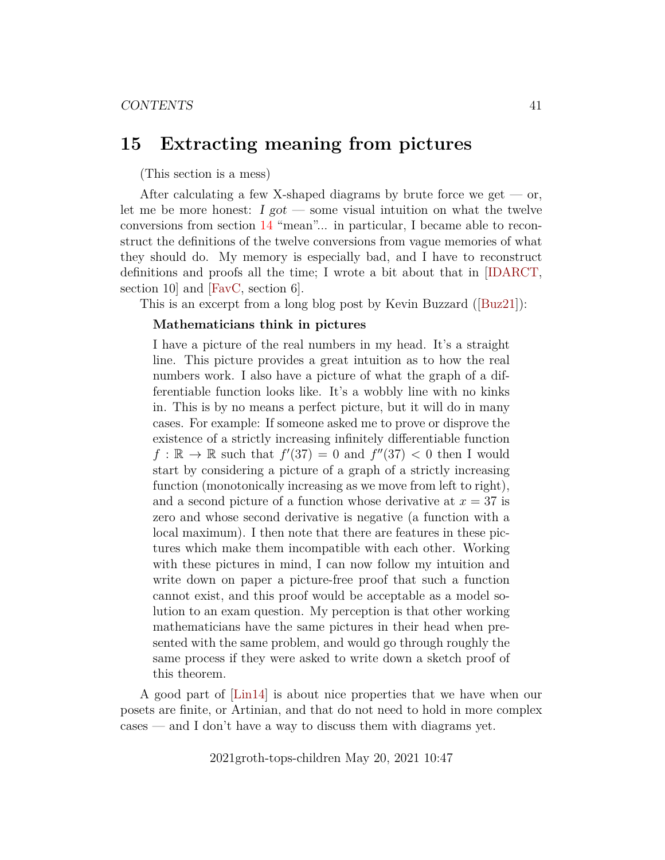## <span id="page-40-0"></span>**15 Extracting meaning from pictures**

(This section is a mess)

After calculating a few X-shaped diagrams by brute force we get  $-$  or, let me be more honest:  $I got$  — some visual intuition on what the twelve conversions from section [14](#page-33-0) "mean"... in particular, I became able to reconstruct the definitions of the twelve conversions from vague memories of what they should do. My memory is especially bad, and I have to reconstruct definitions and proofs all the time; I wrote a bit about that in [\[IDARCT,](#page-43-5) section 10] and [\[FavC,](#page-43-1) section 6].

This is an excerpt from a long blog post by Kevin Buzzard([\[Buz21\]](#page-43-10)):

#### **Mathematicians think in pictures**

I have a picture of the real numbers in my head. It's a straight line. This picture provides a great intuition as to how the real numbers work. I also have a picture of what the graph of a differentiable function looks like. It's a wobbly line with no kinks in. This is by no means a perfect picture, but it will do in many cases. For example: If someone asked me to prove or disprove the existence of a strictly increasing infinitely differentiable function  $f : \mathbb{R} \to \mathbb{R}$  such that  $f'(37) = 0$  and  $f''(37) < 0$  then I would start by considering a picture of a graph of a strictly increasing function (monotonically increasing as we move from left to right), and a second picture of a function whose derivative at  $x = 37$  is zero and whose second derivative is negative (a function with a local maximum). I then note that there are features in these pictures which make them incompatible with each other. Working with these pictures in mind, I can now follow my intuition and write down on paper a picture-free proof that such a function cannot exist, and this proof would be acceptable as a model solution to an exam question. My perception is that other working mathematicians have the same pictures in their head when presented with the same problem, and would go through roughly the same process if they were asked to write down a sketch proof of this theorem.

A good part of [\[Lin14\]](#page-43-4) is about nice properties that we have when our posets are finite, or Artinian, and that do not need to hold in more complex cases — and I don't have a way to discuss them with diagrams yet.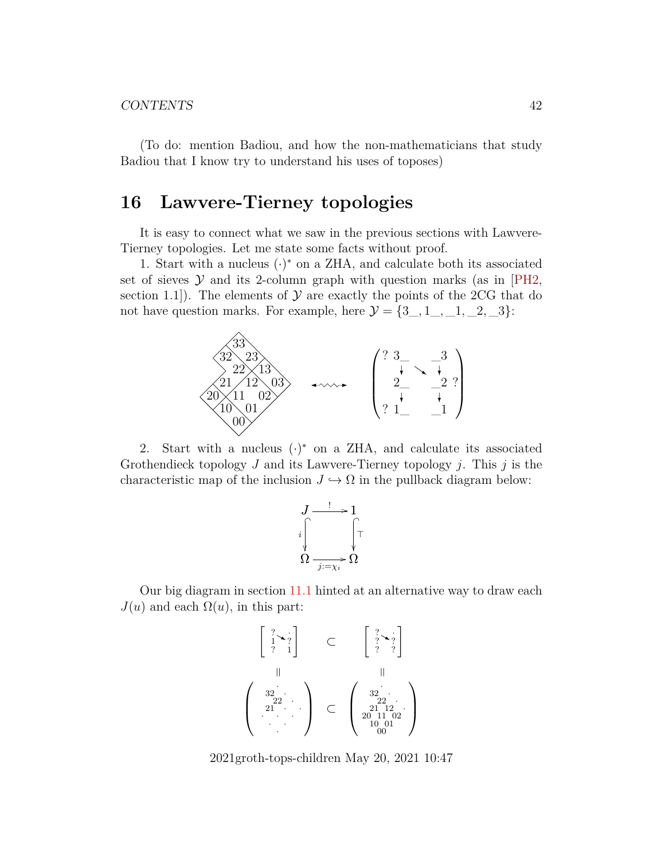(To do: mention Badiou, and how the non-mathematicians that study Badiou that I know try to understand his uses of toposes)

## <span id="page-41-0"></span>**16 Lawvere-Tierney topologies**

It is easy to connect what we saw in the previous sections with Lawvere-Tierney topologies. Let me state some facts without proof.

1. Start with a nucleus  $(\cdot)^*$  on a ZHA, and calculate both its associated set of sieves  $Y$  and its 2-column graph with question marks (as in [\[PH2,](#page-44-0) section 1.1.]. The elements of  $\mathcal Y$  are exactly the points of the 2CG that do not have question marks. For example, here  $\mathcal{Y} = \{3_-, 1_-, -1, -2, -3\}$ :



2. Start with a nucleus  $(\cdot)^*$  on a ZHA, and calculate its associated Grothendieck topology  $J$  and its Lawvere-Tierney topology  $j$ . This  $j$  is the characteristic map of the inclusion  $J \hookrightarrow \Omega$  in the pullback diagram below:



Our big diagram in section [11.1](#page-29-0) hinted at an alternative way to draw each  $J(u)$  and each  $\Omega(u)$ , in this part:

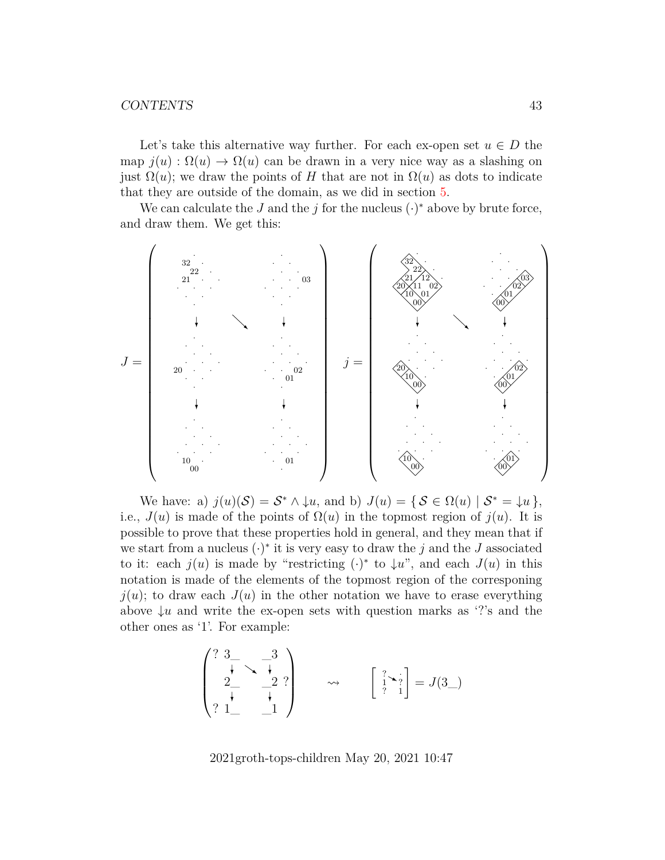Let's take this alternative way further. For each ex-open set  $u \in D$  the map  $j(u)$ :  $\Omega(u) \to \Omega(u)$  can be drawn in a very nice way as a slashing on just  $\Omega(u)$ ; we draw the points of H that are not in  $\Omega(u)$  as dots to indicate that they are outside of the domain, as we did in section [5.](#page-9-0)

We can calculate the J and the j for the nucleus  $(\cdot)^*$  above by brute force, and draw them. We get this:



We have: a)  $j(u)(S) = S^* \wedge \downarrow u$ , and b)  $J(u) = \{ S \in \Omega(u) \mid S^* = \downarrow u \}$ , i.e.,  $J(u)$  is made of the points of  $\Omega(u)$  in the topmost region of  $j(u)$ . It is possible to prove that these properties hold in general, and they mean that if we start from a nucleus  $(\cdot)^*$  it is very easy to draw the j and the J associated to it: each  $j(u)$  is made by "restricting  $(\cdot)^*$  to  $\downarrow u$ ", and each  $J(u)$  in this notation is made of the elements of the topmost region of the corresponing  $j(u)$ ; to draw each  $J(u)$  in the other notation we have to erase everything above  $\downarrow u$  and write the ex-open sets with question marks as '?'s and the other ones as '1'. For example:

$$
\begin{pmatrix} ? & 3 & 3 \\ \frac{1}{2} & \frac{1}{2} & ? \\ ? & 1 & 1 \end{pmatrix} \qquad \rightsquigarrow \qquad \begin{bmatrix} ? & 3 \\ 1 & ? \\ ? & 1 \end{bmatrix} = J(3)
$$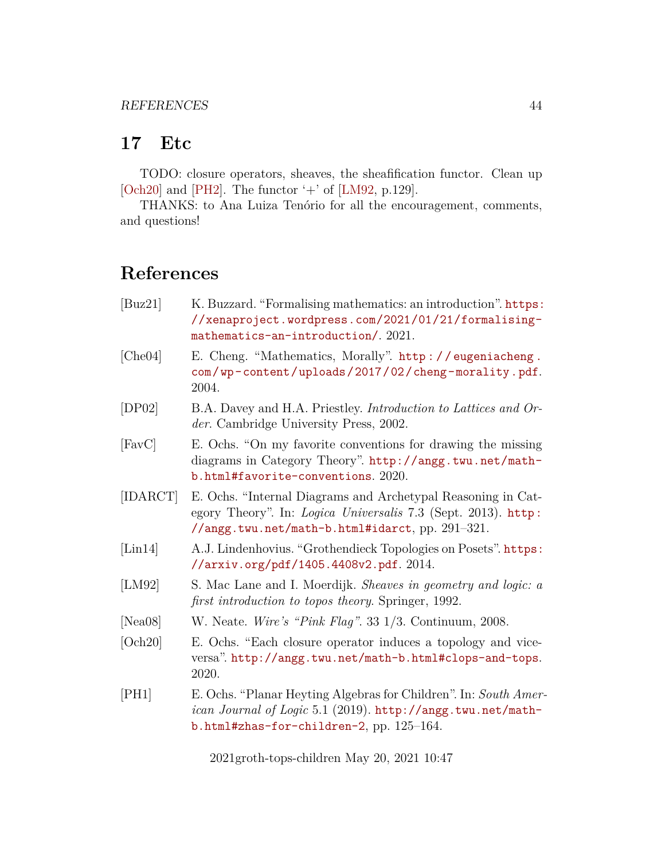## <span id="page-43-2"></span>**17 Etc**

TODO: closure operators, sheaves, the sheafification functor. Clean up [\[Och20\]](#page-43-8) and [\[PH2\]](#page-44-0). The functor  $+$  of [\[LM92,](#page-43-3) p.129].

THANKS: to Ana Luiza Tenório for all the encouragement, comments, and questions!

# **References**

- <span id="page-43-10"></span>[Buz21] K. Buzzard. "Formalising mathematics: an introduction". [https:](https://xenaproject.wordpress.com/2021/01/21/formalising-mathematics-an-introduction/) [//xenaproject.wordpress.com/2021/01/21/formalising](https://xenaproject.wordpress.com/2021/01/21/formalising-mathematics-an-introduction/)[mathematics-an-introduction/](https://xenaproject.wordpress.com/2021/01/21/formalising-mathematics-an-introduction/). 2021.
- <span id="page-43-6"></span>[Che04] E. Cheng. "Mathematics, Morally". [http : / / eugeniacheng .](http://eugeniacheng.com/wp-content/uploads/2017/02/cheng-morality.pdf) [com/wp-content/uploads/2017/02/cheng-morality.pdf](http://eugeniacheng.com/wp-content/uploads/2017/02/cheng-morality.pdf). 2004.
- <span id="page-43-7"></span>[DP02] B.A. Davey and H.A. Priestley. *Introduction to Lattices and Order*. Cambridge University Press, 2002.
- <span id="page-43-1"></span>[FavC] E. Ochs. "On my favorite conventions for drawing the missing diagrams in Category Theory". [http://angg.twu.net/math](http://angg.twu.net/math-b.html#favorite-conventions)[b.html#favorite-conventions](http://angg.twu.net/math-b.html#favorite-conventions). 2020.
- <span id="page-43-5"></span>[IDARCT] E. Ochs. "Internal Diagrams and Archetypal Reasoning in Category Theory". In: *Logica Universalis* 7.3 (Sept. 2013). [http:](http://angg.twu.net/math-b.html#idarct) [//angg.twu.net/math-b.html#idarct](http://angg.twu.net/math-b.html#idarct), pp. 291–321.
- <span id="page-43-4"></span>[Lin14] A.J. Lindenhovius. "Grothendieck Topologies on Posets". [https:](https://arxiv.org/pdf/1405.4408v2.pdf) [//arxiv.org/pdf/1405.4408v2.pdf](https://arxiv.org/pdf/1405.4408v2.pdf). 2014.
- <span id="page-43-3"></span>[LM92] S. Mac Lane and I. Moerdijk. *Sheaves in geometry and logic: a first introduction to topos theory*. Springer, 1992.
- <span id="page-43-9"></span>[Nea08] W. Neate. *Wire's "Pink Flag"*. 33 1/3. Continuum, 2008.
- <span id="page-43-8"></span>[Och20] E. Ochs. "Each closure operator induces a topology and viceversa". <http://angg.twu.net/math-b.html#clops-and-tops>. 2020.
- <span id="page-43-0"></span>[PH1] E. Ochs. "Planar Heyting Algebras for Children". In: *South American Journal of Logic* 5.1 (2019). [http://angg.twu.net/math](http://angg.twu.net/math-b.html#zhas-for-children-2)[b.html#zhas-for-children-2](http://angg.twu.net/math-b.html#zhas-for-children-2), pp. 125–164.